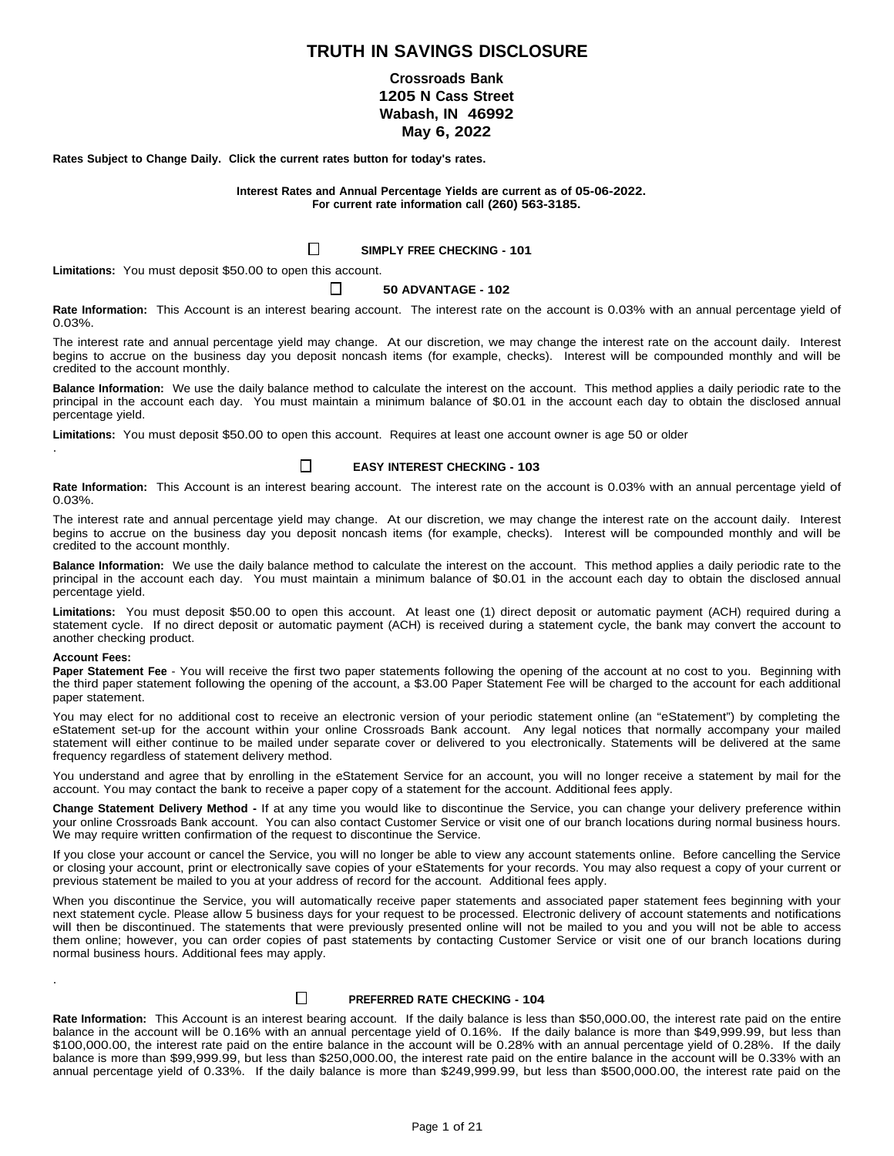# **TRUTH IN SAVINGS DISCLOSURE**

# **Crossroads Bank 1205 N Cass Street Wabash, IN 46992 May 6, 2022**

**Rates Subject to Change Daily. Click the current rates button for today's rates.**

**Interest Rates and Annual Percentage Yields are current as of 05-06-2022. For current rate information call (260) 563-3185.**

### $\Box$ **SIMPLY FREE CHECKING - 101**

**Limitations:** You must deposit \$50.00 to open this account.

#### $\mathsf{L}$ **50 ADVANTAGE - 102**

**Rate Information:** This Account is an interest bearing account. The interest rate on the account is 0.03% with an annual percentage yield of 0.03%.

The interest rate and annual percentage yield may change. At our discretion, we may change the interest rate on the account daily. Interest begins to accrue on the business day you deposit noncash items (for example, checks). Interest will be compounded monthly and will be credited to the account monthly.

**Balance Information:** We use the daily balance method to calculate the interest on the account. This method applies a daily periodic rate to the principal in the account each day. You must maintain a minimum balance of \$0.01 in the account each day to obtain the disclosed annual percentage yield.

**Limitations:** You must deposit \$50.00 to open this account. Requires at least one account owner is age 50 or older .

#### $\Box$ **EASY INTEREST CHECKING - 103**

**Rate Information:** This Account is an interest bearing account. The interest rate on the account is 0.03% with an annual percentage yield of 0.03%.

The interest rate and annual percentage yield may change. At our discretion, we may change the interest rate on the account daily. Interest begins to accrue on the business day you deposit noncash items (for example, checks). Interest will be compounded monthly and will be credited to the account monthly.

**Balance Information:** We use the daily balance method to calculate the interest on the account. This method applies a daily periodic rate to the principal in the account each day. You must maintain a minimum balance of \$0.01 in the account each day to obtain the disclosed annual percentage yield.

**Limitations:** You must deposit \$50.00 to open this account. At least one (1) direct deposit or automatic payment (ACH) required during a statement cycle. If no direct deposit or automatic payment (ACH) is received during a statement cycle, the bank may convert the account to another checking product.

### **Account Fees:**

.

**Paper Statement Fee** - You will receive the first two paper statements following the opening of the account at no cost to you. Beginning with the third paper statement following the opening of the account, a \$3.00 Paper Statement Fee will be charged to the account for each additional paper statement.

You may elect for no additional cost to receive an electronic version of your periodic statement online (an "eStatement") by completing the eStatement set-up for the account within your online Crossroads Bank account. Any legal notices that normally accompany your mailed statement will either continue to be mailed under separate cover or delivered to you electronically. Statements will be delivered at the same frequency regardless of statement delivery method.

You understand and agree that by enrolling in the eStatement Service for an account, you will no longer receive a statement by mail for the account. You may contact the bank to receive a paper copy of a statement for the account. Additional fees apply.

**Change Statement Delivery Method -** If at any time you would like to discontinue the Service, you can change your delivery preference within your online Crossroads Bank account. You can also contact Customer Service or visit one of our branch locations during normal business hours. We may require written confirmation of the request to discontinue the Service.

If you close your account or cancel the Service, you will no longer be able to view any account statements online. Before cancelling the Service or closing your account, print or electronically save copies of your eStatements for your records. You may also request a copy of your current or previous statement be mailed to you at your address of record for the account. Additional fees apply.

When you discontinue the Service, you will automatically receive paper statements and associated paper statement fees beginning with your next statement cycle. Please allow 5 business days for your request to be processed. Electronic delivery of account statements and notifications will then be discontinued. The statements that were previously presented online will not be mailed to you and you will not be able to access them online; however, you can order copies of past statements by contacting Customer Service or visit one of our branch locations during normal business hours. Additional fees may apply.

#### $\Box$ **PREFERRED RATE CHECKING - 104**

**Rate Information:** This Account is an interest bearing account. If the daily balance is less than \$50,000.00, the interest rate paid on the entire balance in the account will be 0.16% with an annual percentage yield of 0.16%. If the daily balance is more than \$49,999.99, but less than \$100,000.00, the interest rate paid on the entire balance in the account will be 0.28% with an annual percentage yield of 0.28%. If the daily balance is more than \$99,999.99, but less than \$250,000.00, the interest rate paid on the entire balance in the account will be 0.33% with an annual percentage yield of 0.33%. If the daily balance is more than \$249,999.99, but less than \$500,000.00, the interest rate paid on the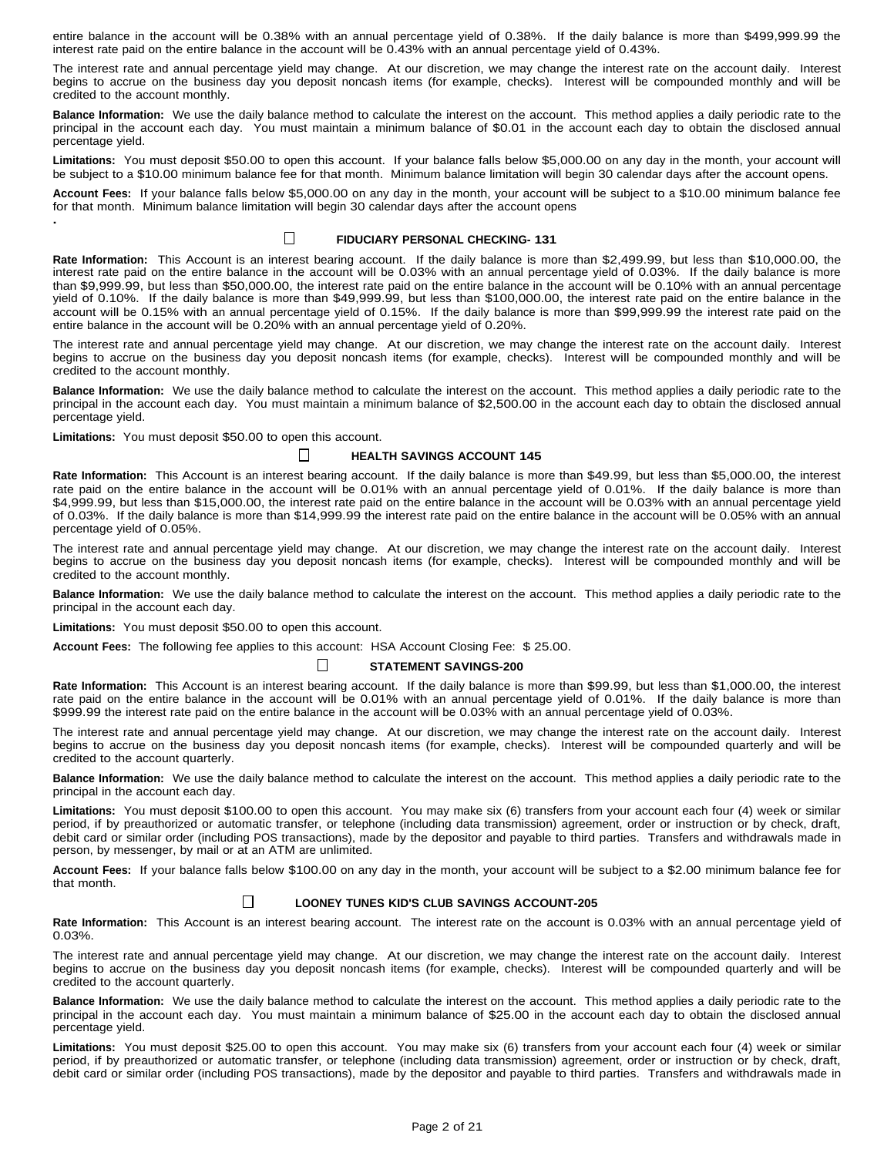entire balance in the account will be 0.38% with an annual percentage yield of 0.38%. If the daily balance is more than \$499,999.99 the interest rate paid on the entire balance in the account will be 0.43% with an annual percentage yield of 0.43%.

The interest rate and annual percentage yield may change. At our discretion, we may change the interest rate on the account daily. Interest begins to accrue on the business day you deposit noncash items (for example, checks). Interest will be compounded monthly and will be credited to the account monthly.

**Balance Information:** We use the daily balance method to calculate the interest on the account. This method applies a daily periodic rate to the principal in the account each day. You must maintain a minimum balance of \$0.01 in the account each day to obtain the disclosed annual percentage yield.

**Limitations:** You must deposit \$50.00 to open this account. If your balance falls below \$5,000.00 on any day in the month, your account will be subject to a \$10.00 minimum balance fee for that month. Minimum balance limitation will begin 30 calendar days after the account opens.

**Account Fees:** If your balance falls below \$5,000.00 on any day in the month, your account will be subject to a \$10.00 minimum balance fee for that month. Minimum balance limitation will begin 30 calendar days after the account opens **.**

# $\perp$

# **FIDUCIARY PERSONAL CHECKING- 131**

**Rate Information:** This Account is an interest bearing account. If the daily balance is more than \$2,499.99, but less than \$10,000.00, the interest rate paid on the entire balance in the account will be 0.03% with an annual percentage yield of 0.03%. If the daily balance is more than \$9,999.99, but less than \$50,000.00, the interest rate paid on the entire balance in the account will be 0.10% with an annual percentage yield of 0.10%. If the daily balance is more than \$49,999.99, but less than \$100,000.00, the interest rate paid on the entire balance in the account will be 0.15% with an annual percentage yield of 0.15%. If the daily balance is more than \$99,999.99 the interest rate paid on the entire balance in the account will be 0.20% with an annual percentage yield of 0.20%.

The interest rate and annual percentage yield may change. At our discretion, we may change the interest rate on the account daily. Interest begins to accrue on the business day you deposit noncash items (for example, checks). Interest will be compounded monthly and will be credited to the account monthly.

**Balance Information:** We use the daily balance method to calculate the interest on the account. This method applies a daily periodic rate to the principal in the account each day. You must maintain a minimum balance of \$2,500.00 in the account each day to obtain the disclosed annual percentage yield.

**Limitations:** You must deposit \$50.00 to open this account.

# **HEALTH SAVINGS ACCOUNT 145**

**Rate Information:** This Account is an interest bearing account. If the daily balance is more than \$49.99, but less than \$5,000.00, the interest rate paid on the entire balance in the account will be 0.01% with an annual percentage yield of 0.01%. If the daily balance is more than \$4,999.99, but less than \$15,000.00, the interest rate paid on the entire balance in the account will be 0.03% with an annual percentage yield of 0.03%. If the daily balance is more than \$14,999.99 the interest rate paid on the entire balance in the account will be 0.05% with an annual percentage yield of 0.05%.

The interest rate and annual percentage yield may change. At our discretion, we may change the interest rate on the account daily. Interest begins to accrue on the business day you deposit noncash items (for example, checks). Interest will be compounded monthly and will be credited to the account monthly.

**Balance Information:** We use the daily balance method to calculate the interest on the account. This method applies a daily periodic rate to the principal in the account each day.

**Limitations:** You must deposit \$50.00 to open this account.

**Account Fees:** The following fee applies to this account: HSA Account Closing Fee: \$ 25.00.

 $\perp$ 

 $\Box$ 

# **STATEMENT SAVINGS-200**

**Rate Information:** This Account is an interest bearing account. If the daily balance is more than \$99.99, but less than \$1,000.00, the interest rate paid on the entire balance in the account will be 0.01% with an annual percentage yield of 0.01%. If the daily balance is more than \$999.99 the interest rate paid on the entire balance in the account will be 0.03% with an annual percentage yield of 0.03%.

The interest rate and annual percentage yield may change. At our discretion, we may change the interest rate on the account daily. Interest begins to accrue on the business day you deposit noncash items (for example, checks). Interest will be compounded quarterly and will be credited to the account quarterly.

**Balance Information:** We use the daily balance method to calculate the interest on the account. This method applies a daily periodic rate to the principal in the account each day.

**Limitations:** You must deposit \$100.00 to open this account. You may make six (6) transfers from your account each four (4) week or similar period, if by preauthorized or automatic transfer, or telephone (including data transmission) agreement, order or instruction or by check, draft, debit card or similar order (including POS transactions), made by the depositor and payable to third parties. Transfers and withdrawals made in person, by messenger, by mail or at an ATM are unlimited.

**Account Fees:** If your balance falls below \$100.00 on any day in the month, your account will be subject to a \$2.00 minimum balance fee for that month.

#### $\Box$ **LOONEY TUNES KID'S CLUB SAVINGS ACCOUNT-205**

**Rate Information:** This Account is an interest bearing account. The interest rate on the account is 0.03% with an annual percentage yield of 0.03%.

The interest rate and annual percentage yield may change. At our discretion, we may change the interest rate on the account daily. Interest begins to accrue on the business day you deposit noncash items (for example, checks). Interest will be compounded quarterly and will be credited to the account quarterly.

**Balance Information:** We use the daily balance method to calculate the interest on the account. This method applies a daily periodic rate to the principal in the account each day. You must maintain a minimum balance of \$25.00 in the account each day to obtain the disclosed annual percentage yield.

**Limitations:** You must deposit \$25.00 to open this account. You may make six (6) transfers from your account each four (4) week or similar period, if by preauthorized or automatic transfer, or telephone (including data transmission) agreement, order or instruction or by check, draft, debit card or similar order (including POS transactions), made by the depositor and payable to third parties. Transfers and withdrawals made in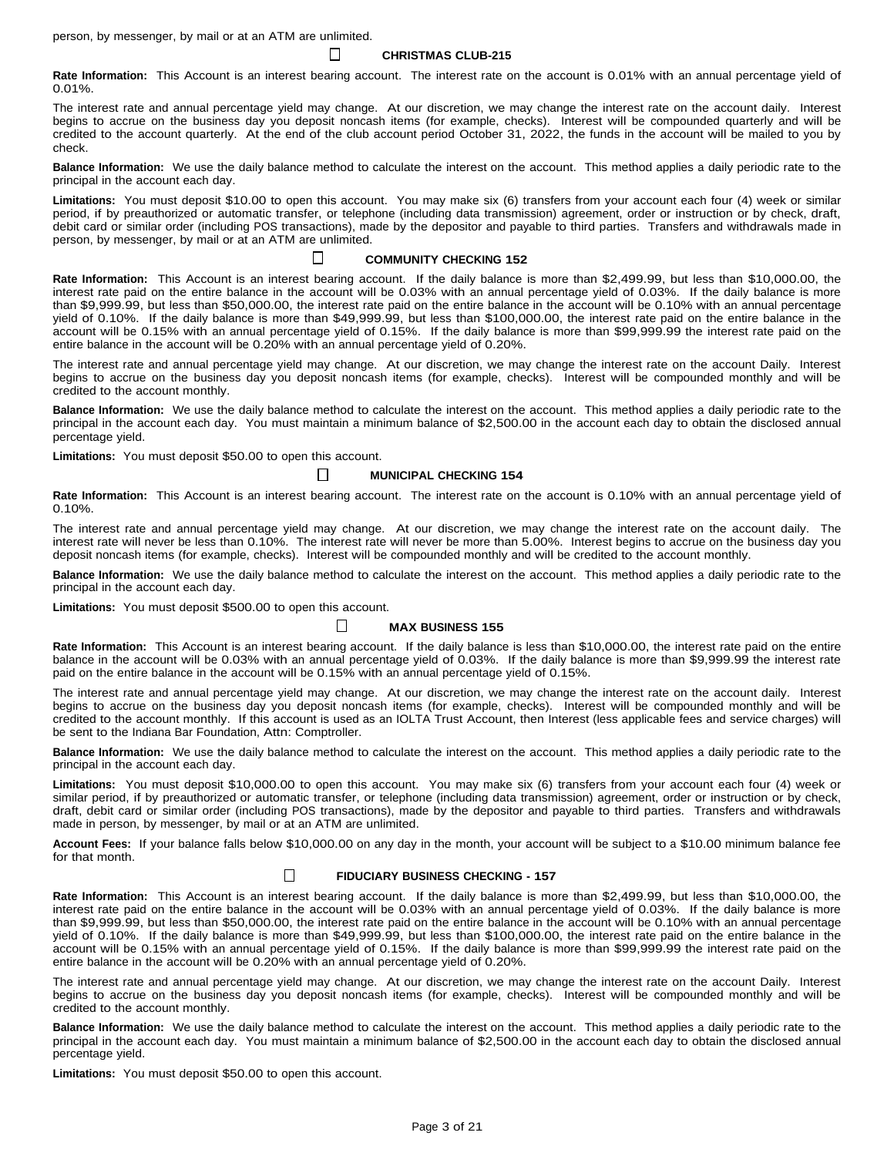person, by messenger, by mail or at an ATM are unlimited.

**CHRISTMAS CLUB-215**

 $\mathbf{I}$ 

 $\Box$ 

**Rate Information:** This Account is an interest bearing account. The interest rate on the account is 0.01% with an annual percentage yield of 0.01%.

The interest rate and annual percentage yield may change. At our discretion, we may change the interest rate on the account daily. Interest begins to accrue on the business day you deposit noncash items (for example, checks). Interest will be compounded quarterly and will be credited to the account quarterly. At the end of the club account period October 31, 2022, the funds in the account will be mailed to you by check.

**Balance Information:** We use the daily balance method to calculate the interest on the account. This method applies a daily periodic rate to the principal in the account each day.

**Limitations:** You must deposit \$10.00 to open this account. You may make six (6) transfers from your account each four (4) week or similar period, if by preauthorized or automatic transfer, or telephone (including data transmission) agreement, order or instruction or by check, draft, debit card or similar order (including POS transactions), made by the depositor and payable to third parties. Transfers and withdrawals made in person, by messenger, by mail or at an ATM are unlimited.

# **COMMUNITY CHECKING 152**

**Rate Information:** This Account is an interest bearing account. If the daily balance is more than \$2,499.99, but less than \$10,000.00, the interest rate paid on the entire balance in the account will be 0.03% with an annual percentage yield of 0.03%. If the daily balance is more than \$9,999.99, but less than \$50,000.00, the interest rate paid on the entire balance in the account will be 0.10% with an annual percentage yield of 0.10%. If the daily balance is more than \$49,999.99, but less than \$100,000.00, the interest rate paid on the entire balance in the account will be 0.15% with an annual percentage yield of 0.15%. If the daily balance is more than \$99,999.99 the interest rate paid on the entire balance in the account will be 0.20% with an annual percentage yield of 0.20%.

The interest rate and annual percentage yield may change. At our discretion, we may change the interest rate on the account Daily. Interest begins to accrue on the business day you deposit noncash items (for example, checks). Interest will be compounded monthly and will be credited to the account monthly.

**Balance Information:** We use the daily balance method to calculate the interest on the account. This method applies a daily periodic rate to the principal in the account each day. You must maintain a minimum balance of \$2,500.00 in the account each day to obtain the disclosed annual percentage yield.

**Limitations:** You must deposit \$50.00 to open this account.

# **MUNICIPAL CHECKING 154**

**Rate Information:** This Account is an interest bearing account. The interest rate on the account is 0.10% with an annual percentage yield of 0.10%.

The interest rate and annual percentage yield may change. At our discretion, we may change the interest rate on the account daily. The interest rate will never be less than 0.10%. The interest rate will never be more than 5.00%. Interest begins to accrue on the business day you deposit noncash items (for example, checks). Interest will be compounded monthly and will be credited to the account monthly.

**Balance Information:** We use the daily balance method to calculate the interest on the account. This method applies a daily periodic rate to the principal in the account each day.

**Limitations:** You must deposit \$500.00 to open this account.

#### $\perp$ **MAX BUSINESS 155**

**Rate Information:** This Account is an interest bearing account. If the daily balance is less than \$10,000.00, the interest rate paid on the entire balance in the account will be 0.03% with an annual percentage yield of 0.03%. If the daily balance is more than \$9,999.99 the interest rate paid on the entire balance in the account will be 0.15% with an annual percentage yield of 0.15%.

The interest rate and annual percentage yield may change. At our discretion, we may change the interest rate on the account daily. Interest begins to accrue on the business day you deposit noncash items (for example, checks). Interest will be compounded monthly and will be credited to the account monthly. If this account is used as an IOLTA Trust Account, then Interest (less applicable fees and service charges) will be sent to the Indiana Bar Foundation, Attn: Comptroller.

**Balance Information:** We use the daily balance method to calculate the interest on the account. This method applies a daily periodic rate to the principal in the account each day.

**Limitations:** You must deposit \$10,000.00 to open this account. You may make six (6) transfers from your account each four (4) week or similar period, if by preauthorized or automatic transfer, or telephone (including data transmission) agreement, order or instruction or by check, draft, debit card or similar order (including POS transactions), made by the depositor and payable to third parties. Transfers and withdrawals made in person, by messenger, by mail or at an ATM are unlimited.

**Account Fees:** If your balance falls below \$10,000.00 on any day in the month, your account will be subject to a \$10.00 minimum balance fee for that month.

#### $\Box$ **FIDUCIARY BUSINESS CHECKING - 157**

**Rate Information:** This Account is an interest bearing account. If the daily balance is more than \$2,499.99, but less than \$10,000.00, the interest rate paid on the entire balance in the account will be 0.03% with an annual percentage yield of 0.03%. If the daily balance is more than \$9,999.99, but less than \$50,000.00, the interest rate paid on the entire balance in the account will be 0.10% with an annual percentage yield of 0.10%. If the daily balance is more than \$49,999.99, but less than \$100,000.00, the interest rate paid on the entire balance in the account will be 0.15% with an annual percentage yield of 0.15%. If the daily balance is more than \$99,999.99 the interest rate paid on the entire balance in the account will be 0.20% with an annual percentage yield of 0.20%.

The interest rate and annual percentage yield may change. At our discretion, we may change the interest rate on the account Daily. Interest begins to accrue on the business day you deposit noncash items (for example, checks). Interest will be compounded monthly and will be credited to the account monthly.

**Balance Information:** We use the daily balance method to calculate the interest on the account. This method applies a daily periodic rate to the principal in the account each day. You must maintain a minimum balance of \$2,500.00 in the account each day to obtain the disclosed annual percentage yield.

**Limitations:** You must deposit \$50.00 to open this account.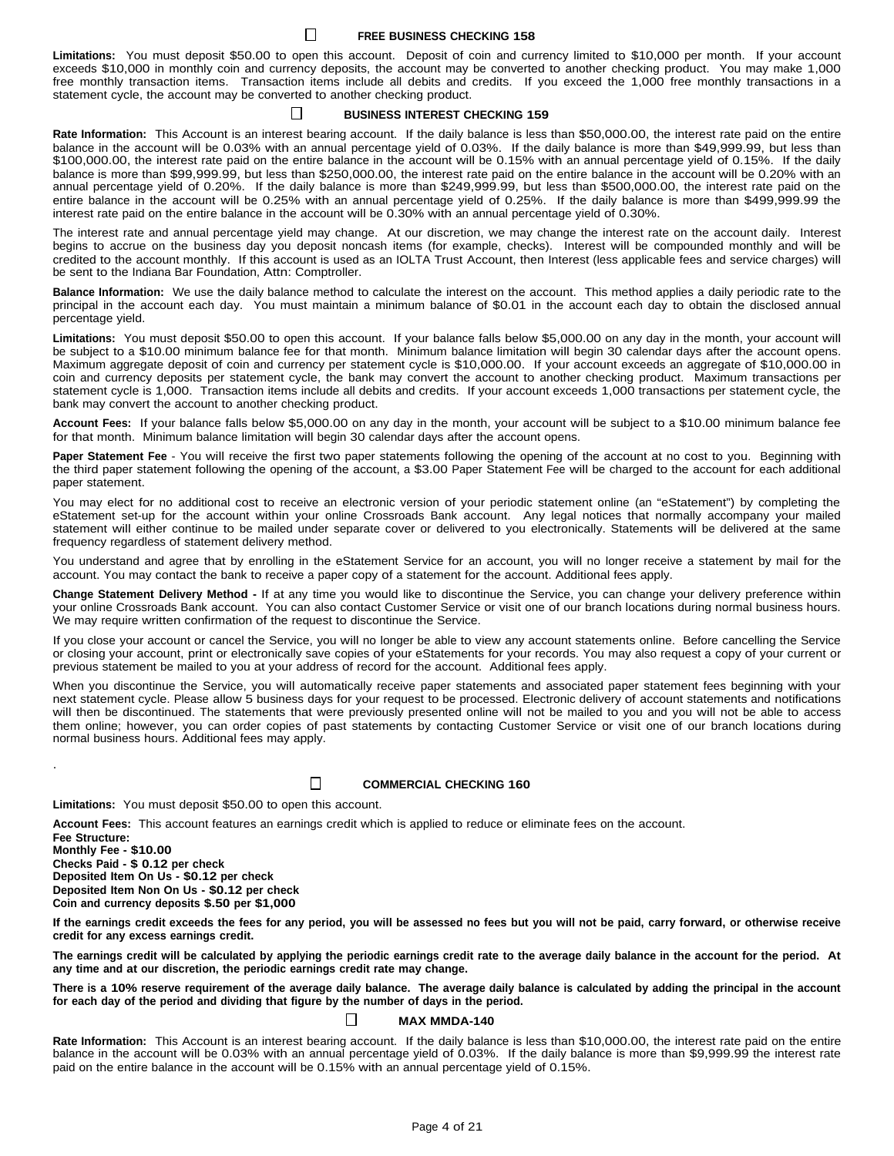### **FREE BUSINESS CHECKING 158**

 $\Box$ 

**Limitations:** You must deposit \$50.00 to open this account. Deposit of coin and currency limited to \$10,000 per month. If your account exceeds \$10,000 in monthly coin and currency deposits, the account may be converted to another checking product. You may make 1,000 free monthly transaction items. Transaction items include all debits and credits. If you exceed the 1,000 free monthly transactions in a statement cycle, the account may be converted to another checking product.

### **BUSINESS INTEREST CHECKING 159**

**Rate Information:** This Account is an interest bearing account. If the daily balance is less than \$50,000.00, the interest rate paid on the entire balance in the account will be 0.03% with an annual percentage yield of 0.03%. If the daily balance is more than \$49,999.99, but less than \$100,000.00, the interest rate paid on the entire balance in the account will be 0.15% with an annual percentage yield of 0.15%. If the daily balance is more than \$99,999.99, but less than \$250,000.00, the interest rate paid on the entire balance in the account will be 0.20% with an annual percentage yield of 0.20%. If the daily balance is more than \$249,999.99, but less than \$500,000.00, the interest rate paid on the entire balance in the account will be 0.25% with an annual percentage yield of 0.25%. If the daily balance is more than \$499,999.99 the interest rate paid on the entire balance in the account will be 0.30% with an annual percentage yield of 0.30%.

The interest rate and annual percentage yield may change. At our discretion, we may change the interest rate on the account daily. Interest begins to accrue on the business day you deposit noncash items (for example, checks). Interest will be compounded monthly and will be credited to the account monthly. If this account is used as an IOLTA Trust Account, then Interest (less applicable fees and service charges) will be sent to the Indiana Bar Foundation, Attn: Comptroller.

**Balance Information:** We use the daily balance method to calculate the interest on the account. This method applies a daily periodic rate to the principal in the account each day. You must maintain a minimum balance of \$0.01 in the account each day to obtain the disclosed annual percentage yield.

**Limitations:** You must deposit \$50.00 to open this account. If your balance falls below \$5,000.00 on any day in the month, your account will be subject to a \$10.00 minimum balance fee for that month. Minimum balance limitation will begin 30 calendar days after the account opens. Maximum aggregate deposit of coin and currency per statement cycle is \$10,000.00. If your account exceeds an aggregate of \$10,000.00 in coin and currency deposits per statement cycle, the bank may convert the account to another checking product. Maximum transactions per statement cycle is 1,000. Transaction items include all debits and credits. If your account exceeds 1,000 transactions per statement cycle, the bank may convert the account to another checking product.

**Account Fees:** If your balance falls below \$5,000.00 on any day in the month, your account will be subject to a \$10.00 minimum balance fee for that month. Minimum balance limitation will begin 30 calendar days after the account opens.

**Paper Statement Fee** - You will receive the first two paper statements following the opening of the account at no cost to you. Beginning with the third paper statement following the opening of the account, a \$3.00 Paper Statement Fee will be charged to the account for each additional paper statement.

You may elect for no additional cost to receive an electronic version of your periodic statement online (an "eStatement") by completing the eStatement set-up for the account within your online Crossroads Bank account. Any legal notices that normally accompany your mailed statement will either continue to be mailed under separate cover or delivered to you electronically. Statements will be delivered at the same frequency regardless of statement delivery method.

You understand and agree that by enrolling in the eStatement Service for an account, you will no longer receive a statement by mail for the account. You may contact the bank to receive a paper copy of a statement for the account. Additional fees apply.

**Change Statement Delivery Method -** If at any time you would like to discontinue the Service, you can change your delivery preference within your online Crossroads Bank account. You can also contact Customer Service or visit one of our branch locations during normal business hours. We may require written confirmation of the request to discontinue the Service.

If you close your account or cancel the Service, you will no longer be able to view any account statements online. Before cancelling the Service or closing your account, print or electronically save copies of your eStatements for your records. You may also request a copy of your current or previous statement be mailed to you at your address of record for the account. Additional fees apply.

When you discontinue the Service, you will automatically receive paper statements and associated paper statement fees beginning with your next statement cycle. Please allow 5 business days for your request to be processed. Electronic delivery of account statements and notifications will then be discontinued. The statements that were previously presented online will not be mailed to you and you will not be able to access them online; however, you can order copies of past statements by contacting Customer Service or visit one of our branch locations during normal business hours. Additional fees may apply.

П

# **COMMERCIAL CHECKING 160**

**Limitations:** You must deposit \$50.00 to open this account.

**Account Fees:** This account features an earnings credit which is applied to reduce or eliminate fees on the account.

**Fee Structure: Monthly Fee - \$10.00 Checks Paid - \$ 0.12 per check Deposited Item On Us - \$0.12 per check Deposited Item Non On Us - \$0.12 per check Coin and currency deposits \$.50 per \$1,000**

.

If the earnings credit exceeds the fees for any period, you will be assessed no fees but you will not be paid, carry forward, or otherwise receive **credit for any excess earnings credit.**

The earnings credit will be calculated by applying the periodic earnings credit rate to the average daily balance in the account for the period. At **any time and at our discretion, the periodic earnings credit rate may change.**

There is a 10% reserve requirement of the average daily balance. The average daily balance is calculated by adding the principal in the account **for each day of the period and dividing that figure by the number of days in the period.**

#### $\mathsf{L}$ **MAX MMDA-140**

**Rate Information:** This Account is an interest bearing account. If the daily balance is less than \$10,000.00, the interest rate paid on the entire balance in the account will be 0.03% with an annual percentage yield of 0.03%. If the daily balance is more than \$9,999.99 the interest rate paid on the entire balance in the account will be 0.15% with an annual percentage yield of 0.15%.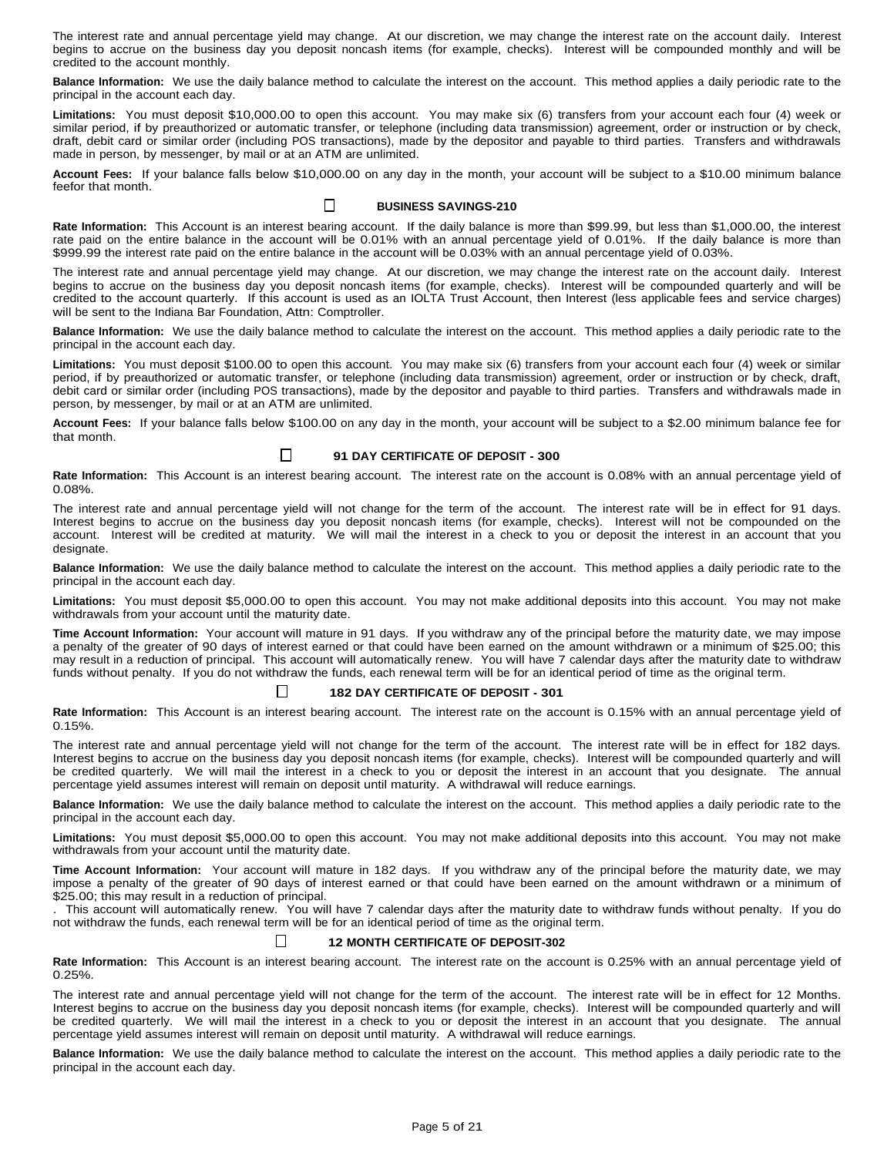The interest rate and annual percentage yield may change. At our discretion, we may change the interest rate on the account daily. Interest begins to accrue on the business day you deposit noncash items (for example, checks). Interest will be compounded monthly and will be credited to the account monthly.

**Balance Information:** We use the daily balance method to calculate the interest on the account. This method applies a daily periodic rate to the principal in the account each day.

**Limitations:** You must deposit \$10,000.00 to open this account. You may make six (6) transfers from your account each four (4) week or similar period, if by preauthorized or automatic transfer, or telephone (including data transmission) agreement, order or instruction or by check, draft, debit card or similar order (including POS transactions), made by the depositor and payable to third parties. Transfers and withdrawals made in person, by messenger, by mail or at an ATM are unlimited.

**Account Fees:** If your balance falls below \$10,000.00 on any day in the month, your account will be subject to a \$10.00 minimum balance feefor that month.

#### $\perp$ **BUSINESS SAVINGS-210**

**Rate Information:** This Account is an interest bearing account. If the daily balance is more than \$99.99, but less than \$1,000.00, the interest rate paid on the entire balance in the account will be 0.01% with an annual percentage yield of 0.01%. If the daily balance is more than \$999.99 the interest rate paid on the entire balance in the account will be 0.03% with an annual percentage yield of 0.03%.

The interest rate and annual percentage yield may change. At our discretion, we may change the interest rate on the account daily. Interest begins to accrue on the business day you deposit noncash items (for example, checks). Interest will be compounded quarterly and will be credited to the account quarterly. If this account is used as an IOLTA Trust Account, then Interest (less applicable fees and service charges) will be sent to the Indiana Bar Foundation, Attn: Comptroller.

**Balance Information:** We use the daily balance method to calculate the interest on the account. This method applies a daily periodic rate to the principal in the account each day.

**Limitations:** You must deposit \$100.00 to open this account. You may make six (6) transfers from your account each four (4) week or similar period, if by preauthorized or automatic transfer, or telephone (including data transmission) agreement, order or instruction or by check, draft, debit card or similar order (including POS transactions), made by the depositor and payable to third parties. Transfers and withdrawals made in person, by messenger, by mail or at an ATM are unlimited.

**Account Fees:** If your balance falls below \$100.00 on any day in the month, your account will be subject to a \$2.00 minimum balance fee for that month.

#### $\Box$ **91 DAY CERTIFICATE OF DEPOSIT - 300**

**Rate Information:** This Account is an interest bearing account. The interest rate on the account is 0.08% with an annual percentage yield of 0.08%.

The interest rate and annual percentage yield will not change for the term of the account. The interest rate will be in effect for 91 days. Interest begins to accrue on the business day you deposit noncash items (for example, checks). Interest will not be compounded on the account. Interest will be credited at maturity. We will mail the interest in a check to you or deposit the interest in an account that you designate.

**Balance Information:** We use the daily balance method to calculate the interest on the account. This method applies a daily periodic rate to the principal in the account each day.

**Limitations:** You must deposit \$5,000.00 to open this account. You may not make additional deposits into this account. You may not make withdrawals from your account until the maturity date.

**Time Account Information:** Your account will mature in 91 days. If you withdraw any of the principal before the maturity date, we may impose a penalty of the greater of 90 days of interest earned or that could have been earned on the amount withdrawn or a minimum of \$25.00; this may result in a reduction of principal. This account will automatically renew. You will have 7 calendar days after the maturity date to withdraw funds without penalty. If you do not withdraw the funds, each renewal term will be for an identical period of time as the original term.

### **182 DAY CERTIFICATE OF DEPOSIT - 301**

 $\Box$ 

**Rate Information:** This Account is an interest bearing account. The interest rate on the account is 0.15% with an annual percentage yield of 0.15%.

The interest rate and annual percentage yield will not change for the term of the account. The interest rate will be in effect for 182 days. Interest begins to accrue on the business day you deposit noncash items (for example, checks). Interest will be compounded quarterly and will be credited quarterly. We will mail the interest in a check to you or deposit the interest in an account that you designate. The annual percentage yield assumes interest will remain on deposit until maturity. A withdrawal will reduce earnings.

**Balance Information:** We use the daily balance method to calculate the interest on the account. This method applies a daily periodic rate to the principal in the account each day.

**Limitations:** You must deposit \$5,000.00 to open this account. You may not make additional deposits into this account. You may not make withdrawals from your account until the maturity date.

**Time Account Information:** Your account will mature in 182 days. If you withdraw any of the principal before the maturity date, we may impose a penalty of the greater of 90 days of interest earned or that could have been earned on the amount withdrawn or a minimum of \$25.00; this may result in a reduction of principal.

. This account will automatically renew. You will have 7 calendar days after the maturity date to withdraw funds without penalty. If you do not withdraw the funds, each renewal term will be for an identical period of time as the original term.

#### Ш **12 MONTH CERTIFICATE OF DEPOSIT-302**

**Rate Information:** This Account is an interest bearing account. The interest rate on the account is 0.25% with an annual percentage yield of 0.25%.

The interest rate and annual percentage yield will not change for the term of the account. The interest rate will be in effect for 12 Months. Interest begins to accrue on the business day you deposit noncash items (for example, checks). Interest will be compounded quarterly and will be credited quarterly. We will mail the interest in a check to you or deposit the interest in an account that you designate. The annual percentage yield assumes interest will remain on deposit until maturity. A withdrawal will reduce earnings.

**Balance Information:** We use the daily balance method to calculate the interest on the account. This method applies a daily periodic rate to the principal in the account each day.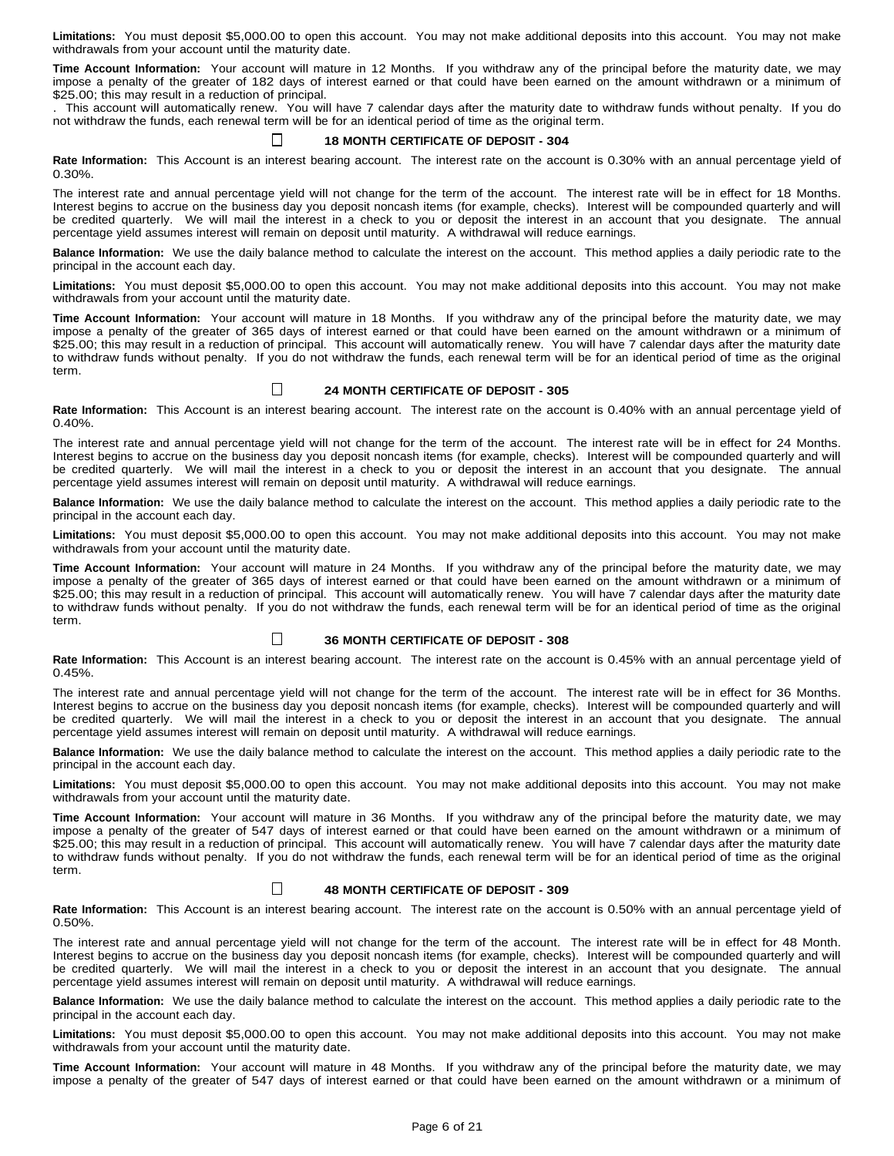**Limitations:** You must deposit \$5,000.00 to open this account. You may not make additional deposits into this account. You may not make withdrawals from your account until the maturity date.

**Time Account Information:** Your account will mature in 12 Months. If you withdraw any of the principal before the maturity date, we may impose a penalty of the greater of 182 days of interest earned or that could have been earned on the amount withdrawn or a minimum of \$25.00; this may result in a reduction of principal.

. This account will automatically renew. You will have 7 calendar days after the maturity date to withdraw funds without penalty. If you do not withdraw the funds, each renewal term will be for an identical period of time as the original term.

#### $\perp$ **18 MONTH CERTIFICATE OF DEPOSIT - 304**

**Rate Information:** This Account is an interest bearing account. The interest rate on the account is 0.30% with an annual percentage yield of 0.30%.

The interest rate and annual percentage yield will not change for the term of the account. The interest rate will be in effect for 18 Months. Interest begins to accrue on the business day you deposit noncash items (for example, checks). Interest will be compounded quarterly and will be credited quarterly. We will mail the interest in a check to you or deposit the interest in an account that you designate. The annual percentage yield assumes interest will remain on deposit until maturity. A withdrawal will reduce earnings.

**Balance Information:** We use the daily balance method to calculate the interest on the account. This method applies a daily periodic rate to the principal in the account each day.

**Limitations:** You must deposit \$5,000.00 to open this account. You may not make additional deposits into this account. You may not make withdrawals from your account until the maturity date.

**Time Account Information:** Your account will mature in 18 Months. If you withdraw any of the principal before the maturity date, we may impose a penalty of the greater of 365 days of interest earned or that could have been earned on the amount withdrawn or a minimum of \$25.00; this may result in a reduction of principal. This account will automatically renew. You will have 7 calendar days after the maturity date to withdraw funds without penalty. If you do not withdraw the funds, each renewal term will be for an identical period of time as the original term.

#### $\sqcup$ **24 MONTH CERTIFICATE OF DEPOSIT - 305**

**Rate Information:** This Account is an interest bearing account. The interest rate on the account is 0.40% with an annual percentage yield of 0.40%.

The interest rate and annual percentage yield will not change for the term of the account. The interest rate will be in effect for 24 Months. Interest begins to accrue on the business day you deposit noncash items (for example, checks). Interest will be compounded quarterly and will be credited quarterly. We will mail the interest in a check to you or deposit the interest in an account that you designate. The annual percentage yield assumes interest will remain on deposit until maturity. A withdrawal will reduce earnings.

**Balance Information:** We use the daily balance method to calculate the interest on the account. This method applies a daily periodic rate to the principal in the account each day.

**Limitations:** You must deposit \$5,000.00 to open this account. You may not make additional deposits into this account. You may not make withdrawals from your account until the maturity date.

**Time Account Information:** Your account will mature in 24 Months. If you withdraw any of the principal before the maturity date, we may impose a penalty of the greater of 365 days of interest earned or that could have been earned on the amount withdrawn or a minimum of \$25.00; this may result in a reduction of principal. This account will automatically renew. You will have 7 calendar days after the maturity date to withdraw funds without penalty. If you do not withdraw the funds, each renewal term will be for an identical period of time as the original term.

#### $\Box$ **36 MONTH CERTIFICATE OF DEPOSIT - 308**

**Rate Information:** This Account is an interest bearing account. The interest rate on the account is 0.45% with an annual percentage yield of 0.45%.

The interest rate and annual percentage yield will not change for the term of the account. The interest rate will be in effect for 36 Months. Interest begins to accrue on the business day you deposit noncash items (for example, checks). Interest will be compounded quarterly and will be credited quarterly. We will mail the interest in a check to you or deposit the interest in an account that you designate. The annual percentage yield assumes interest will remain on deposit until maturity. A withdrawal will reduce earnings.

**Balance Information:** We use the daily balance method to calculate the interest on the account. This method applies a daily periodic rate to the principal in the account each day.

**Limitations:** You must deposit \$5,000.00 to open this account. You may not make additional deposits into this account. You may not make withdrawals from your account until the maturity date.

**Time Account Information:** Your account will mature in 36 Months. If you withdraw any of the principal before the maturity date, we may impose a penalty of the greater of 547 days of interest earned or that could have been earned on the amount withdrawn or a minimum of \$25.00; this may result in a reduction of principal. This account will automatically renew. You will have 7 calendar days after the maturity date to withdraw funds without penalty. If you do not withdraw the funds, each renewal term will be for an identical period of time as the original term.

#### $\perp$ **48 MONTH CERTIFICATE OF DEPOSIT - 309**

**Rate Information:** This Account is an interest bearing account. The interest rate on the account is 0.50% with an annual percentage yield of 0.50%.

The interest rate and annual percentage yield will not change for the term of the account. The interest rate will be in effect for 48 Month. Interest begins to accrue on the business day you deposit noncash items (for example, checks). Interest will be compounded quarterly and will be credited quarterly. We will mail the interest in a check to you or deposit the interest in an account that you designate. The annual percentage yield assumes interest will remain on deposit until maturity. A withdrawal will reduce earnings.

**Balance Information:** We use the daily balance method to calculate the interest on the account. This method applies a daily periodic rate to the principal in the account each day.

**Limitations:** You must deposit \$5,000.00 to open this account. You may not make additional deposits into this account. You may not make withdrawals from your account until the maturity date.

**Time Account Information:** Your account will mature in 48 Months. If you withdraw any of the principal before the maturity date, we may impose a penalty of the greater of 547 days of interest earned or that could have been earned on the amount withdrawn or a minimum of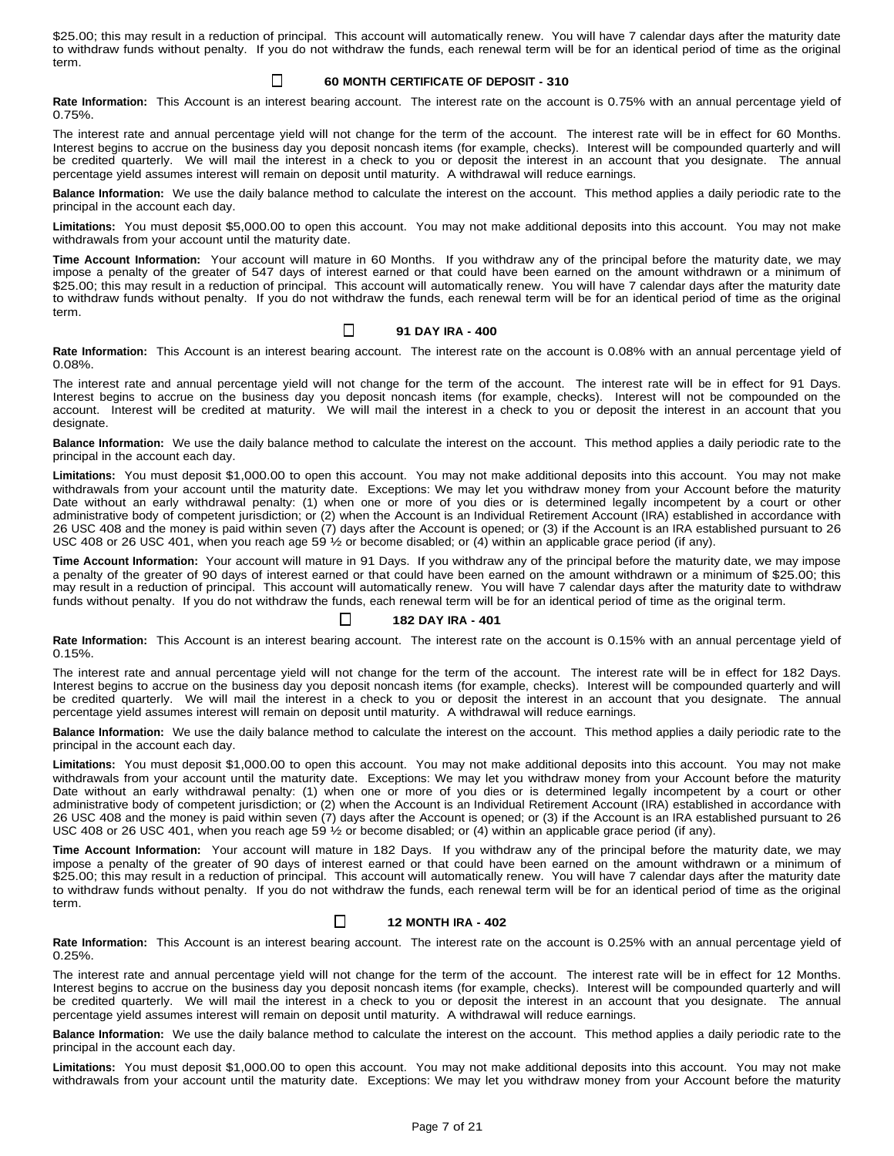\$25.00; this may result in a reduction of principal. This account will automatically renew. You will have 7 calendar days after the maturity date to withdraw funds without penalty. If you do not withdraw the funds, each renewal term will be for an identical period of time as the original term.

#### □ **60 MONTH CERTIFICATE OF DEPOSIT - 310**

**Rate Information:** This Account is an interest bearing account. The interest rate on the account is 0.75% with an annual percentage yield of 0.75%.

The interest rate and annual percentage yield will not change for the term of the account. The interest rate will be in effect for 60 Months. Interest begins to accrue on the business day you deposit noncash items (for example, checks). Interest will be compounded quarterly and will be credited quarterly. We will mail the interest in a check to you or deposit the interest in an account that you designate. The annual percentage yield assumes interest will remain on deposit until maturity. A withdrawal will reduce earnings.

**Balance Information:** We use the daily balance method to calculate the interest on the account. This method applies a daily periodic rate to the principal in the account each day.

**Limitations:** You must deposit \$5,000.00 to open this account. You may not make additional deposits into this account. You may not make withdrawals from your account until the maturity date.

**Time Account Information:** Your account will mature in 60 Months. If you withdraw any of the principal before the maturity date, we may impose a penalty of the greater of 547 days of interest earned or that could have been earned on the amount withdrawn or a minimum of \$25.00; this may result in a reduction of principal. This account will automatically renew. You will have 7 calendar days after the maturity date to withdraw funds without penalty. If you do not withdraw the funds, each renewal term will be for an identical period of time as the original term.

#### Ц **91 DAY IRA - 400**

**Rate Information:** This Account is an interest bearing account. The interest rate on the account is 0.08% with an annual percentage yield of 0.08%.

The interest rate and annual percentage yield will not change for the term of the account. The interest rate will be in effect for 91 Days. Interest begins to accrue on the business day you deposit noncash items (for example, checks). Interest will not be compounded on the account. Interest will be credited at maturity. We will mail the interest in a check to you or deposit the interest in an account that you designate.

**Balance Information:** We use the daily balance method to calculate the interest on the account. This method applies a daily periodic rate to the principal in the account each day.

**Limitations:** You must deposit \$1,000.00 to open this account. You may not make additional deposits into this account. You may not make withdrawals from your account until the maturity date. Exceptions: We may let you withdraw money from your Account before the maturity Date without an early withdrawal penalty: (1) when one or more of you dies or is determined legally incompetent by a court or other administrative body of competent jurisdiction; or (2) when the Account is an Individual Retirement Account (IRA) established in accordance with 26 USC 408 and the money is paid within seven (7) days after the Account is opened; or (3) if the Account is an IRA established pursuant to 26 USC 408 or 26 USC 401, when you reach age 59 ½ or become disabled; or (4) within an applicable grace period (if any).

**Time Account Information:** Your account will mature in 91 Days. If you withdraw any of the principal before the maturity date, we may impose a penalty of the greater of 90 days of interest earned or that could have been earned on the amount withdrawn or a minimum of \$25.00; this may result in a reduction of principal. This account will automatically renew. You will have 7 calendar days after the maturity date to withdraw funds without penalty. If you do not withdraw the funds, each renewal term will be for an identical period of time as the original term.

#### $\perp$ **182 DAY IRA - 401**

**Rate Information:** This Account is an interest bearing account. The interest rate on the account is 0.15% with an annual percentage yield of 0.15%.

The interest rate and annual percentage yield will not change for the term of the account. The interest rate will be in effect for 182 Days. Interest begins to accrue on the business day you deposit noncash items (for example, checks). Interest will be compounded quarterly and will be credited quarterly. We will mail the interest in a check to you or deposit the interest in an account that you designate. The annual percentage yield assumes interest will remain on deposit until maturity. A withdrawal will reduce earnings.

**Balance Information:** We use the daily balance method to calculate the interest on the account. This method applies a daily periodic rate to the principal in the account each day.

**Limitations:** You must deposit \$1,000.00 to open this account. You may not make additional deposits into this account. You may not make withdrawals from your account until the maturity date. Exceptions: We may let you withdraw money from your Account before the maturity Date without an early withdrawal penalty: (1) when one or more of you dies or is determined legally incompetent by a court or other administrative body of competent jurisdiction; or (2) when the Account is an Individual Retirement Account (IRA) established in accordance with 26 USC 408 and the money is paid within seven (7) days after the Account is opened; or (3) if the Account is an IRA established pursuant to 26 USC 408 or 26 USC 401, when you reach age 59 ½ or become disabled; or (4) within an applicable grace period (if any).

**Time Account Information:** Your account will mature in 182 Days. If you withdraw any of the principal before the maturity date, we may impose a penalty of the greater of 90 days of interest earned or that could have been earned on the amount withdrawn or a minimum of \$25.00; this may result in a reduction of principal. This account will automatically renew. You will have 7 calendar days after the maturity date to withdraw funds without penalty. If you do not withdraw the funds, each renewal term will be for an identical period of time as the original term.

### $\Box$ **12 MONTH IRA - 402**

**Rate Information:** This Account is an interest bearing account. The interest rate on the account is 0.25% with an annual percentage yield of 0.25%.

The interest rate and annual percentage yield will not change for the term of the account. The interest rate will be in effect for 12 Months. Interest begins to accrue on the business day you deposit noncash items (for example, checks). Interest will be compounded quarterly and will be credited quarterly. We will mail the interest in a check to you or deposit the interest in an account that you designate. The annual percentage yield assumes interest will remain on deposit until maturity. A withdrawal will reduce earnings.

**Balance Information:** We use the daily balance method to calculate the interest on the account. This method applies a daily periodic rate to the principal in the account each day.

**Limitations:** You must deposit \$1,000.00 to open this account. You may not make additional deposits into this account. You may not make withdrawals from your account until the maturity date. Exceptions: We may let you withdraw money from your Account before the maturity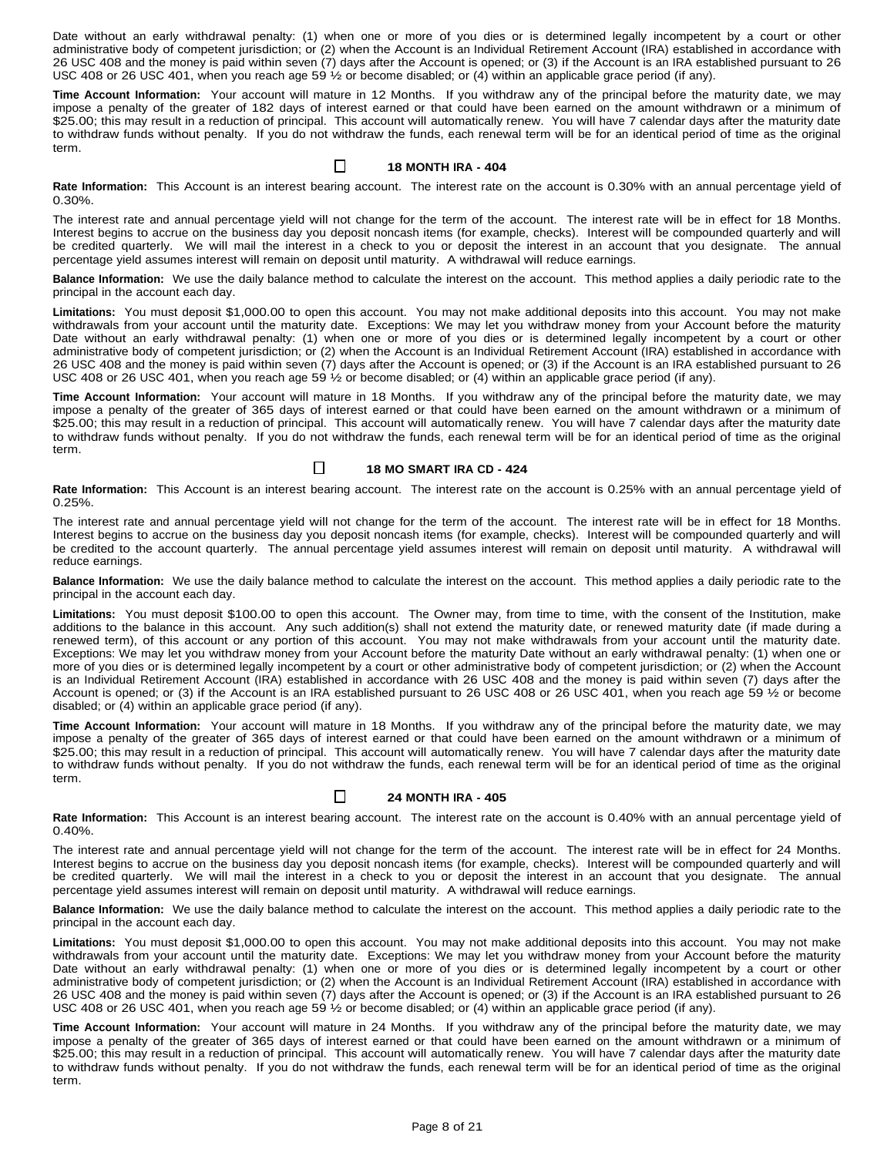Date without an early withdrawal penalty: (1) when one or more of you dies or is determined legally incompetent by a court or other administrative body of competent jurisdiction; or (2) when the Account is an Individual Retirement Account (IRA) established in accordance with 26 USC 408 and the money is paid within seven (7) days after the Account is opened; or (3) if the Account is an IRA established pursuant to 26 USC 408 or 26 USC 401, when you reach age 59 ½ or become disabled; or (4) within an applicable grace period (if any).

**Time Account Information:** Your account will mature in 12 Months. If you withdraw any of the principal before the maturity date, we may impose a penalty of the greater of 182 days of interest earned or that could have been earned on the amount withdrawn or a minimum of \$25.00; this may result in a reduction of principal. This account will automatically renew. You will have 7 calendar days after the maturity date to withdraw funds without penalty. If you do not withdraw the funds, each renewal term will be for an identical period of time as the original term.

### $\Box$ **18 MONTH IRA - 404**

**Rate Information:** This Account is an interest bearing account. The interest rate on the account is 0.30% with an annual percentage yield of 0.30%.

The interest rate and annual percentage yield will not change for the term of the account. The interest rate will be in effect for 18 Months. Interest begins to accrue on the business day you deposit noncash items (for example, checks). Interest will be compounded quarterly and will be credited quarterly. We will mail the interest in a check to you or deposit the interest in an account that you designate. The annual percentage yield assumes interest will remain on deposit until maturity. A withdrawal will reduce earnings.

**Balance Information:** We use the daily balance method to calculate the interest on the account. This method applies a daily periodic rate to the principal in the account each day.

**Limitations:** You must deposit \$1,000.00 to open this account. You may not make additional deposits into this account. You may not make withdrawals from your account until the maturity date. Exceptions: We may let you withdraw money from your Account before the maturity Date without an early withdrawal penalty: (1) when one or more of you dies or is determined legally incompetent by a court or other administrative body of competent jurisdiction; or (2) when the Account is an Individual Retirement Account (IRA) established in accordance with 26 USC 408 and the money is paid within seven (7) days after the Account is opened; or (3) if the Account is an IRA established pursuant to 26 USC 408 or 26 USC 401, when you reach age 59 1/2 or become disabled; or (4) within an applicable grace period (if any).

**Time Account Information:** Your account will mature in 18 Months. If you withdraw any of the principal before the maturity date, we may impose a penalty of the greater of 365 days of interest earned or that could have been earned on the amount withdrawn or a minimum of \$25.00; this may result in a reduction of principal. This account will automatically renew. You will have 7 calendar days after the maturity date to withdraw funds without penalty. If you do not withdraw the funds, each renewal term will be for an identical period of time as the original term.

#### $\Box$ **18 MO SMART IRA CD - 424**

**Rate Information:** This Account is an interest bearing account. The interest rate on the account is 0.25% with an annual percentage yield of 0.25%.

The interest rate and annual percentage yield will not change for the term of the account. The interest rate will be in effect for 18 Months. Interest begins to accrue on the business day you deposit noncash items (for example, checks). Interest will be compounded quarterly and will be credited to the account quarterly. The annual percentage yield assumes interest will remain on deposit until maturity. A withdrawal will reduce earnings.

**Balance Information:** We use the daily balance method to calculate the interest on the account. This method applies a daily periodic rate to the principal in the account each day.

**Limitations:** You must deposit \$100.00 to open this account. The Owner may, from time to time, with the consent of the Institution, make additions to the balance in this account. Any such addition(s) shall not extend the maturity date, or renewed maturity date (if made during a renewed term), of this account or any portion of this account. You may not make withdrawals from your account until the maturity date. Exceptions: We may let you withdraw money from your Account before the maturity Date without an early withdrawal penalty: (1) when one or more of you dies or is determined legally incompetent by a court or other administrative body of competent jurisdiction; or (2) when the Account is an Individual Retirement Account (IRA) established in accordance with 26 USC 408 and the money is paid within seven (7) days after the Account is opened; or (3) if the Account is an IRA established pursuant to 26 USC 408 or 26 USC 401, when you reach age 59 ½ or become disabled; or (4) within an applicable grace period (if any).

**Time Account Information:** Your account will mature in 18 Months. If you withdraw any of the principal before the maturity date, we may impose a penalty of the greater of 365 days of interest earned or that could have been earned on the amount withdrawn or a minimum of \$25.00; this may result in a reduction of principal. This account will automatically renew. You will have 7 calendar days after the maturity date to withdraw funds without penalty. If you do not withdraw the funds, each renewal term will be for an identical period of time as the original term.

#### $\Box$ **24 MONTH IRA - 405**

**Rate Information:** This Account is an interest bearing account. The interest rate on the account is 0.40% with an annual percentage yield of 0.40%.

The interest rate and annual percentage yield will not change for the term of the account. The interest rate will be in effect for 24 Months. Interest begins to accrue on the business day you deposit noncash items (for example, checks). Interest will be compounded quarterly and will be credited quarterly. We will mail the interest in a check to you or deposit the interest in an account that you designate. The annual percentage yield assumes interest will remain on deposit until maturity. A withdrawal will reduce earnings.

**Balance Information:** We use the daily balance method to calculate the interest on the account. This method applies a daily periodic rate to the principal in the account each day.

**Limitations:** You must deposit \$1,000.00 to open this account. You may not make additional deposits into this account. You may not make withdrawals from your account until the maturity date. Exceptions: We may let you withdraw money from your Account before the maturity Date without an early withdrawal penalty: (1) when one or more of you dies or is determined legally incompetent by a court or other administrative body of competent jurisdiction; or (2) when the Account is an Individual Retirement Account (IRA) established in accordance with 26 USC 408 and the money is paid within seven (7) days after the Account is opened; or (3) if the Account is an IRA established pursuant to 26 USC 408 or 26 USC 401, when you reach age 59 1/2 or become disabled; or (4) within an applicable grace period (if any).

**Time Account Information:** Your account will mature in 24 Months. If you withdraw any of the principal before the maturity date, we may impose a penalty of the greater of 365 days of interest earned or that could have been earned on the amount withdrawn or a minimum of \$25.00; this may result in a reduction of principal. This account will automatically renew. You will have 7 calendar days after the maturity date to withdraw funds without penalty. If you do not withdraw the funds, each renewal term will be for an identical period of time as the original term.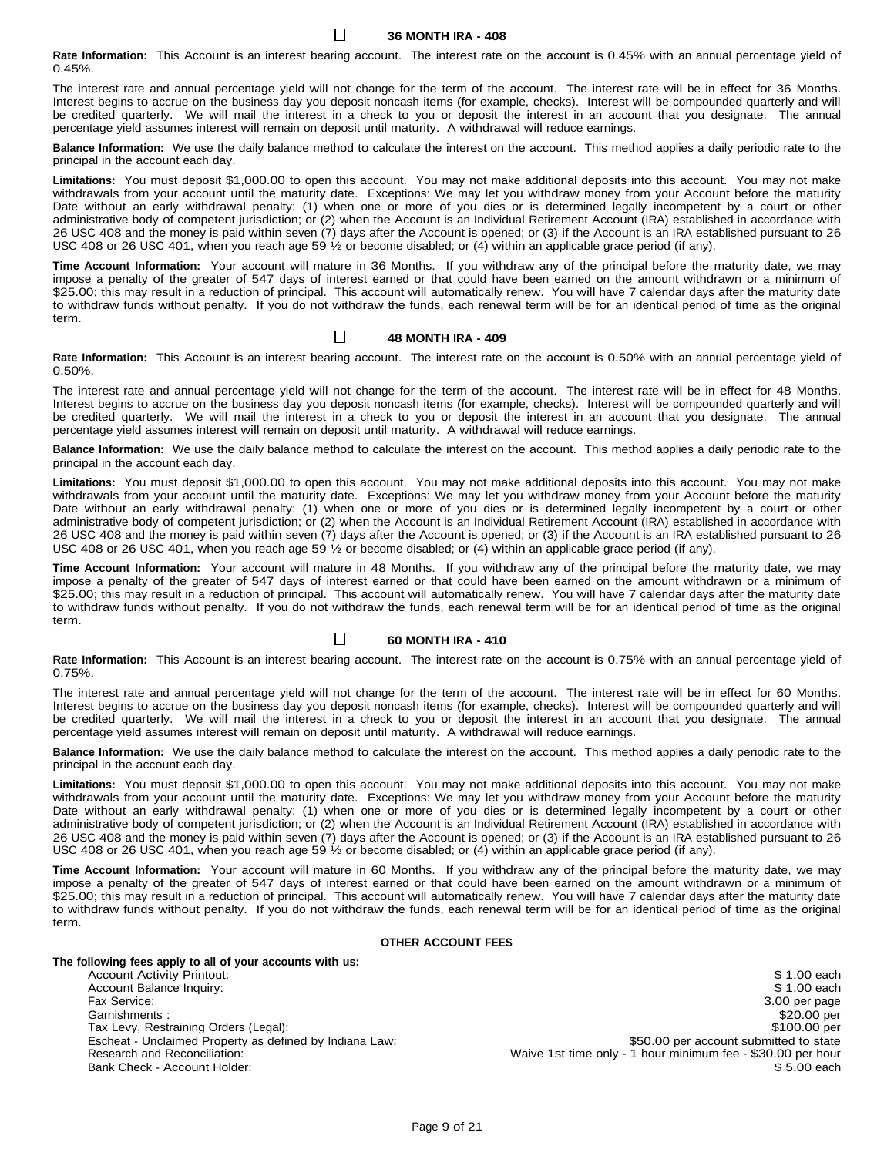**36 MONTH IRA - 408**

П

**Rate Information:** This Account is an interest bearing account. The interest rate on the account is 0.45% with an annual percentage yield of 0.45%.

The interest rate and annual percentage yield will not change for the term of the account. The interest rate will be in effect for 36 Months. Interest begins to accrue on the business day you deposit noncash items (for example, checks). Interest will be compounded quarterly and will be credited quarterly. We will mail the interest in a check to you or deposit the interest in an account that you designate. The annual percentage yield assumes interest will remain on deposit until maturity. A withdrawal will reduce earnings.

**Balance Information:** We use the daily balance method to calculate the interest on the account. This method applies a daily periodic rate to the principal in the account each day.

**Limitations:** You must deposit \$1,000.00 to open this account. You may not make additional deposits into this account. You may not make withdrawals from your account until the maturity date. Exceptions: We may let you withdraw money from your Account before the maturity Date without an early withdrawal penalty: (1) when one or more of you dies or is determined legally incompetent by a court or other administrative body of competent jurisdiction; or (2) when the Account is an Individual Retirement Account (IRA) established in accordance with 26 USC 408 and the money is paid within seven (7) days after the Account is opened; or (3) if the Account is an IRA established pursuant to 26 USC 408 or 26 USC 401, when you reach age 59 ½ or become disabled; or (4) within an applicable grace period (if any).

**Time Account Information:** Your account will mature in 36 Months. If you withdraw any of the principal before the maturity date, we may impose a penalty of the greater of 547 days of interest earned or that could have been earned on the amount withdrawn or a minimum of \$25.00; this may result in a reduction of principal. This account will automatically renew. You will have 7 calendar days after the maturity date to withdraw funds without penalty. If you do not withdraw the funds, each renewal term will be for an identical period of time as the original term.

### $\Box$ **48 MONTH IRA - 409**

**Rate Information:** This Account is an interest bearing account. The interest rate on the account is 0.50% with an annual percentage yield of 0.50%.

The interest rate and annual percentage yield will not change for the term of the account. The interest rate will be in effect for 48 Months. Interest begins to accrue on the business day you deposit noncash items (for example, checks). Interest will be compounded quarterly and will be credited quarterly. We will mail the interest in a check to you or deposit the interest in an account that you designate. The annual percentage yield assumes interest will remain on deposit until maturity. A withdrawal will reduce earnings.

**Balance Information:** We use the daily balance method to calculate the interest on the account. This method applies a daily periodic rate to the principal in the account each day.

**Limitations:** You must deposit \$1,000.00 to open this account. You may not make additional deposits into this account. You may not make withdrawals from your account until the maturity date. Exceptions: We may let you withdraw money from your Account before the maturity Date without an early withdrawal penalty: (1) when one or more of you dies or is determined legally incompetent by a court or other administrative body of competent jurisdiction; or (2) when the Account is an Individual Retirement Account (IRA) established in accordance with 26 USC 408 and the money is paid within seven (7) days after the Account is opened; or (3) if the Account is an IRA established pursuant to 26 USC 408 or 26 USC 401, when you reach age 59 1/2 or become disabled; or (4) within an applicable grace period (if any).

**Time Account Information:** Your account will mature in 48 Months. If you withdraw any of the principal before the maturity date, we may impose a penalty of the greater of 547 days of interest earned or that could have been earned on the amount withdrawn or a minimum of \$25.00; this may result in a reduction of principal. This account will automatically renew. You will have 7 calendar days after the maturity date to withdraw funds without penalty. If you do not withdraw the funds, each renewal term will be for an identical period of time as the original term.

#### $\Box$ **60 MONTH IRA - 410**

**Rate Information:** This Account is an interest bearing account. The interest rate on the account is 0.75% with an annual percentage yield of 0.75%.

The interest rate and annual percentage yield will not change for the term of the account. The interest rate will be in effect for 60 Months. Interest begins to accrue on the business day you deposit noncash items (for example, checks). Interest will be compounded quarterly and will be credited quarterly. We will mail the interest in a check to you or deposit the interest in an account that you designate. The annual percentage yield assumes interest will remain on deposit until maturity. A withdrawal will reduce earnings.

**Balance Information:** We use the daily balance method to calculate the interest on the account. This method applies a daily periodic rate to the principal in the account each day.

**Limitations:** You must deposit \$1,000.00 to open this account. You may not make additional deposits into this account. You may not make withdrawals from your account until the maturity date. Exceptions: We may let you withdraw money from your Account before the maturity Date without an early withdrawal penalty: (1) when one or more of you dies or is determined legally incompetent by a court or other administrative body of competent jurisdiction; or (2) when the Account is an Individual Retirement Account (IRA) established in accordance with 26 USC 408 and the money is paid within seven (7) days after the Account is opened; or (3) if the Account is an IRA established pursuant to 26 USC 408 or 26 USC 401, when you reach age 59 1/2 or become disabled; or (4) within an applicable grace period (if any).

**Time Account Information:** Your account will mature in 60 Months. If you withdraw any of the principal before the maturity date, we may impose a penalty of the greater of 547 days of interest earned or that could have been earned on the amount withdrawn or a minimum of \$25.00; this may result in a reduction of principal. This account will automatically renew. You will have 7 calendar days after the maturity date to withdraw funds without penalty. If you do not withdraw the funds, each renewal term will be for an identical period of time as the original term.

# **OTHER ACCOUNT FEES**

# **The following fees apply to all of your accounts with us:**

Account Activity Printout:  $\sim$  8 1.00 each set of the set of the set of the set of the set of the set of the set of the set of the set of the set of the set of the set of the set of the set of the set of the set of the se Account Balance Inquiry: \$ 1.00 each \$ 1.00 each \$ 1.00 each \$ 1.00 each \$ 1.00 each \$ 1.00 each \$ 1.00 each \$ 1.00 each \$ 1.00 each \$ 1.00 each \$ 1.00 each \$ 1.00 each \$ 1.00 each \$ 1.00 each \$ 1.00 each \$ 1.00 each \$ 1.0 Fax Service: 3.00 per page Garnishments : \$20.00 per Tax Levy, Restraining Orders (Legal): **\$100.00 per** and the straining orders (Legal): Escheat - Unclaimed Property as defined by Indiana Law: \$50.00 \$50.00 per account submitted to state<br>Research and Reconciliation: Waive 1st time only - 1 hour minimum fee - \$30.00 per hour Waive 1st time only - 1 hour minimum fee - \$30.00 per hour Bank Check - Account Holder:  $$5.00$  each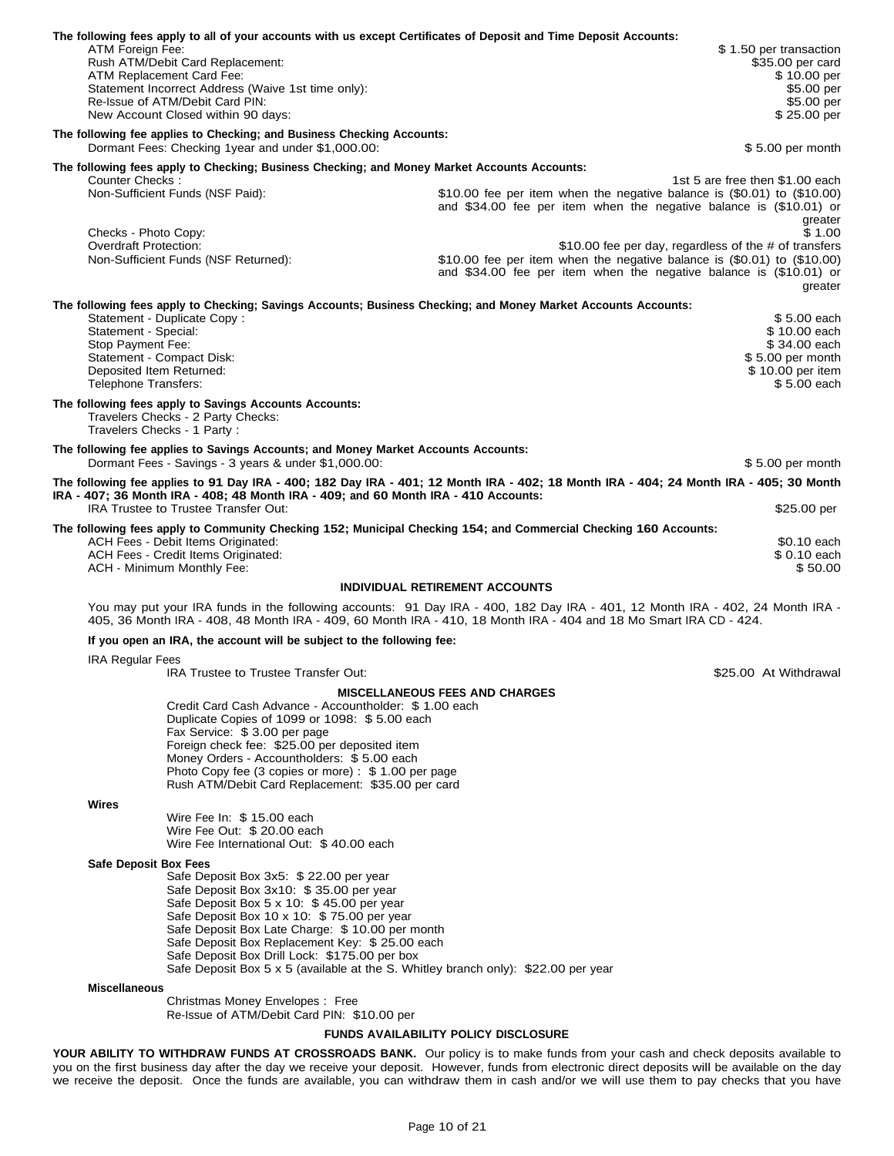| The following fees apply to all of your accounts with us except Certificates of Deposit and Time Deposit Accounts:<br>ATM Foreign Fee:<br>Rush ATM/Debit Card Replacement:<br>ATM Replacement Card Fee:                                                                                                                                                                                                                                                   | \$1.50 per transaction<br>\$35.00 per card<br>\$10.00 per                                                                                                                                                                                                                                                                                                                                                                           |
|-----------------------------------------------------------------------------------------------------------------------------------------------------------------------------------------------------------------------------------------------------------------------------------------------------------------------------------------------------------------------------------------------------------------------------------------------------------|-------------------------------------------------------------------------------------------------------------------------------------------------------------------------------------------------------------------------------------------------------------------------------------------------------------------------------------------------------------------------------------------------------------------------------------|
| Statement Incorrect Address (Waive 1st time only):<br>Re-Issue of ATM/Debit Card PIN:<br>New Account Closed within 90 days:                                                                                                                                                                                                                                                                                                                               | \$5.00 per<br>\$5.00 per<br>\$25.00 per                                                                                                                                                                                                                                                                                                                                                                                             |
| The following fee applies to Checking; and Business Checking Accounts:<br>Dormant Fees: Checking 1year and under \$1,000.00:                                                                                                                                                                                                                                                                                                                              | \$5.00 per month                                                                                                                                                                                                                                                                                                                                                                                                                    |
| The following fees apply to Checking; Business Checking; and Money Market Accounts Accounts:<br>Counter Checks:                                                                                                                                                                                                                                                                                                                                           | 1st 5 are free then \$1.00 each                                                                                                                                                                                                                                                                                                                                                                                                     |
| Non-Sufficient Funds (NSF Paid):                                                                                                                                                                                                                                                                                                                                                                                                                          | \$10.00 fee per item when the negative balance is $(\$0.01)$ to $(\$10.00)$<br>and \$34.00 fee per item when the negative balance is (\$10.01) or<br>greater                                                                                                                                                                                                                                                                        |
| Checks - Photo Copy:<br>Overdraft Protection:<br>Non-Sufficient Funds (NSF Returned):                                                                                                                                                                                                                                                                                                                                                                     | \$1.00<br>\$10.00 fee per day, regardless of the # of transfers<br>\$10.00 fee per item when the negative balance is (\$0.01) to (\$10.00)<br>and \$34.00 fee per item when the negative balance is (\$10.01) or<br>greater                                                                                                                                                                                                         |
| The following fees apply to Checking; Savings Accounts; Business Checking; and Money Market Accounts Accounts:<br>Statement - Duplicate Copy:                                                                                                                                                                                                                                                                                                             | \$5.00 each                                                                                                                                                                                                                                                                                                                                                                                                                         |
| Statement - Special:<br>Stop Payment Fee:                                                                                                                                                                                                                                                                                                                                                                                                                 | \$10.00 each<br>\$34.00 each                                                                                                                                                                                                                                                                                                                                                                                                        |
| Statement - Compact Disk:<br>Deposited Item Returned:<br>Telephone Transfers:                                                                                                                                                                                                                                                                                                                                                                             | \$5.00 per month<br>\$10.00 per item<br>\$5.00 each                                                                                                                                                                                                                                                                                                                                                                                 |
| The following fees apply to Savings Accounts Accounts:<br>Travelers Checks - 2 Party Checks:<br>Travelers Checks - 1 Party:                                                                                                                                                                                                                                                                                                                               |                                                                                                                                                                                                                                                                                                                                                                                                                                     |
| The following fee applies to Savings Accounts; and Money Market Accounts Accounts:<br>Dormant Fees - Savings - 3 years & under \$1,000.00:                                                                                                                                                                                                                                                                                                                | \$5.00 per month                                                                                                                                                                                                                                                                                                                                                                                                                    |
|                                                                                                                                                                                                                                                                                                                                                                                                                                                           | The following fee applies to 91 Day IRA - 400; 182 Day IRA - 401; 12 Month IRA - 402; 18 Month IRA - 404; 24 Month IRA - 405; 30 Month                                                                                                                                                                                                                                                                                              |
| IRA - 407; 36 Month IRA - 408; 48 Month IRA - 409; and 60 Month IRA - 410 Accounts:<br>IRA Trustee to Trustee Transfer Out:                                                                                                                                                                                                                                                                                                                               | \$25.00 per                                                                                                                                                                                                                                                                                                                                                                                                                         |
| The following fees apply to Community Checking 152; Municipal Checking 154; and Commercial Checking 160 Accounts:<br>ACH Fees - Debit Items Originated:<br>ACH Fees - Credit Items Originated:<br>ACH - Minimum Monthly Fee:                                                                                                                                                                                                                              | \$0.10 each<br>\$ 0.10 each<br>\$50.00                                                                                                                                                                                                                                                                                                                                                                                              |
|                                                                                                                                                                                                                                                                                                                                                                                                                                                           | <b>INDIVIDUAL RETIREMENT ACCOUNTS</b>                                                                                                                                                                                                                                                                                                                                                                                               |
|                                                                                                                                                                                                                                                                                                                                                                                                                                                           | You may put your IRA funds in the following accounts: 91 Day IRA - 400, 182 Day IRA - 401, 12 Month IRA - 402, 24 Month IRA -<br>405, 36 Month IRA - 408, 48 Month IRA - 409, 60 Month IRA - 410, 18 Month IRA - 404 and 18 Mo Smart IRA CD - 424.                                                                                                                                                                                  |
| If you open an IRA, the account will be subject to the following fee:                                                                                                                                                                                                                                                                                                                                                                                     |                                                                                                                                                                                                                                                                                                                                                                                                                                     |
| <b>IRA Regular Fees</b><br>IRA Trustee to Trustee Transfer Out:                                                                                                                                                                                                                                                                                                                                                                                           | \$25.00 At Withdrawal                                                                                                                                                                                                                                                                                                                                                                                                               |
| Credit Card Cash Advance - Accountholder: \$1.00 each<br>Duplicate Copies of 1099 or 1098: \$5.00 each<br>Fax Service: \$3.00 per page<br>Foreign check fee: \$25.00 per deposited item<br>Money Orders - Accountholders: \$5.00 each<br>Photo Copy fee (3 copies or more) : \$1.00 per page<br>Rush ATM/Debit Card Replacement: \$35.00 per card                                                                                                         | <b>MISCELLANEOUS FEES AND CHARGES</b>                                                                                                                                                                                                                                                                                                                                                                                               |
| Wires                                                                                                                                                                                                                                                                                                                                                                                                                                                     |                                                                                                                                                                                                                                                                                                                                                                                                                                     |
| Wire Fee In: \$15.00 each<br>Wire Fee Out: \$ 20.00 each<br>Wire Fee International Out: \$40.00 each                                                                                                                                                                                                                                                                                                                                                      |                                                                                                                                                                                                                                                                                                                                                                                                                                     |
| <b>Safe Deposit Box Fees</b><br>Safe Deposit Box 3x5: \$ 22.00 per year<br>Safe Deposit Box 3x10: \$35.00 per year<br>Safe Deposit Box 5 x 10: \$45.00 per year<br>Safe Deposit Box 10 x 10: \$75.00 per year<br>Safe Deposit Box Late Charge: \$10.00 per month<br>Safe Deposit Box Replacement Key: \$25.00 each<br>Safe Deposit Box Drill Lock: \$175.00 per box<br>Safe Deposit Box 5 x 5 (available at the S. Whitley branch only): \$22.00 per year |                                                                                                                                                                                                                                                                                                                                                                                                                                     |
| <b>Miscellaneous</b>                                                                                                                                                                                                                                                                                                                                                                                                                                      |                                                                                                                                                                                                                                                                                                                                                                                                                                     |
| Christmas Money Envelopes: Free<br>Re-Issue of ATM/Debit Card PIN: \$10.00 per                                                                                                                                                                                                                                                                                                                                                                            |                                                                                                                                                                                                                                                                                                                                                                                                                                     |
| <b>FUNDS AVAILABILITY POLICY DISCLOSURE</b>                                                                                                                                                                                                                                                                                                                                                                                                               |                                                                                                                                                                                                                                                                                                                                                                                                                                     |
|                                                                                                                                                                                                                                                                                                                                                                                                                                                           | <b>YOUR ABILITY TO WITHDRAW FUNDS AT CROSSROADS BANK.</b> Our policy is to make funds from your cash and check deposits available to<br>you on the first business day after the day we receive your deposit. However, funds from electronic direct deposits will be available on the day<br>we receive the deposit. Once the funds are available, you can withdraw them in cash and/or we will use them to pay checks that you have |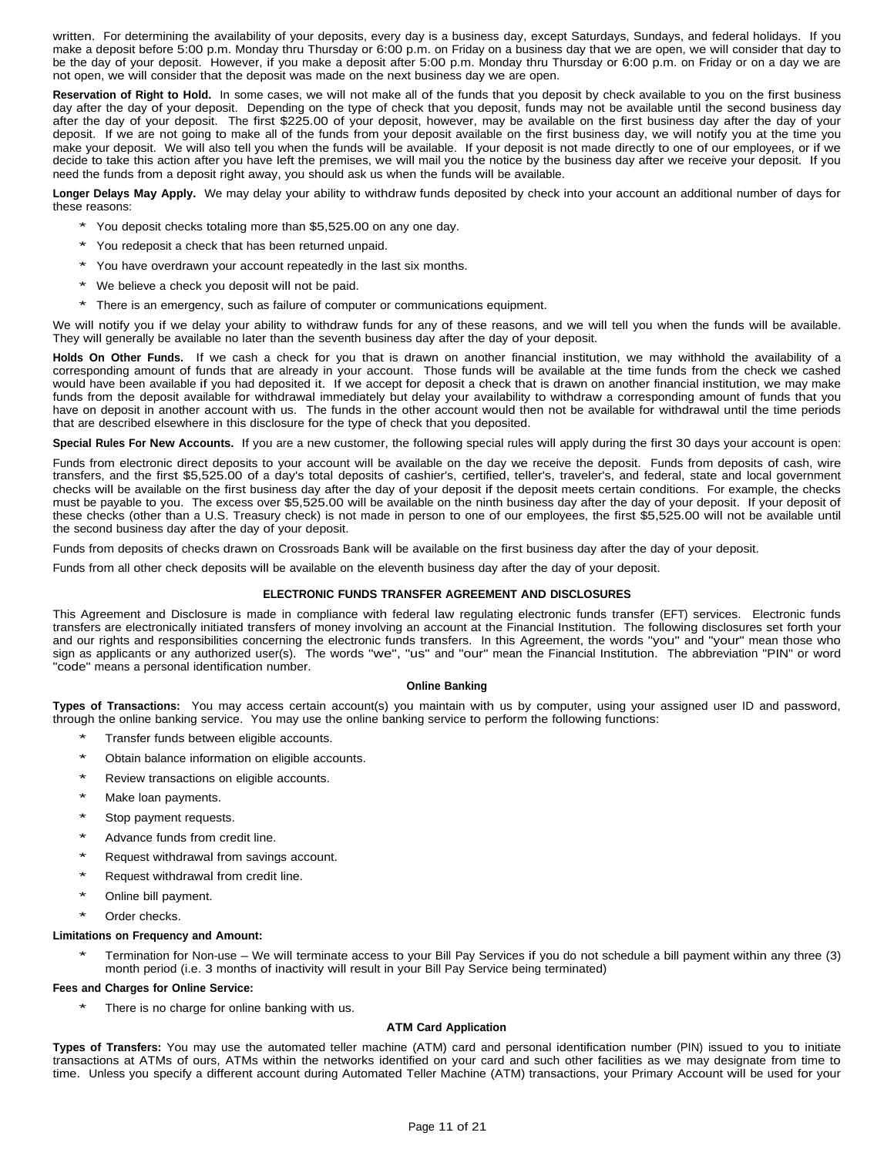written. For determining the availability of your deposits, every day is a business day, except Saturdays, Sundays, and federal holidays. If you make a deposit before 5:00 p.m. Monday thru Thursday or 6:00 p.m. on Friday on a business day that we are open, we will consider that day to be the day of your deposit. However, if you make a deposit after 5:00 p.m. Monday thru Thursday or 6:00 p.m. on Friday or on a day we are not open, we will consider that the deposit was made on the next business day we are open.

**Reservation of Right to Hold.** In some cases, we will not make all of the funds that you deposit by check available to you on the first business day after the day of your deposit. Depending on the type of check that you deposit, funds may not be available until the second business day after the day of your deposit. The first \$225.00 of your deposit, however, may be available on the first business day after the day of your deposit. If we are not going to make all of the funds from your deposit available on the first business day, we will notify you at the time you make your deposit. We will also tell you when the funds will be available. If your deposit is not made directly to one of our employees, or if we decide to take this action after you have left the premises, we will mail you the notice by the business day after we receive your deposit. If you need the funds from a deposit right away, you should ask us when the funds will be available.

**Longer Delays May Apply.** We may delay your ability to withdraw funds deposited by check into your account an additional number of days for these reasons:

- \* You deposit checks totaling more than \$5,525.00 on any one day.
- You redeposit a check that has been returned unpaid.
- You have overdrawn your account repeatedly in the last six months.
- We believe a check you deposit will not be paid.
- There is an emergency, such as failure of computer or communications equipment.

We will notify you if we delay your ability to withdraw funds for any of these reasons, and we will tell you when the funds will be available. They will generally be available no later than the seventh business day after the day of your deposit.

**Holds On Other Funds.** If we cash a check for you that is drawn on another financial institution, we may withhold the availability of a corresponding amount of funds that are already in your account. Those funds will be available at the time funds from the check we cashed would have been available if you had deposited it. If we accept for deposit a check that is drawn on another financial institution, we may make funds from the deposit available for withdrawal immediately but delay your availability to withdraw a corresponding amount of funds that you have on deposit in another account with us. The funds in the other account would then not be available for withdrawal until the time periods that are described elsewhere in this disclosure for the type of check that you deposited.

**Special Rules For New Accounts.** If you are a new customer, the following special rules will apply during the first 30 days your account is open:

Funds from electronic direct deposits to your account will be available on the day we receive the deposit. Funds from deposits of cash, wire transfers, and the first \$5,525.00 of a day's total deposits of cashier's, certified, teller's, traveler's, and federal, state and local government checks will be available on the first business day after the day of your deposit if the deposit meets certain conditions. For example, the checks must be payable to you. The excess over \$5,525.00 will be available on the ninth business day after the day of your deposit. If your deposit of these checks (other than a U.S. Treasury check) is not made in person to one of our employees, the first \$5,525.00 will not be available until the second business day after the day of your deposit.

Funds from deposits of checks drawn on Crossroads Bank will be available on the first business day after the day of your deposit.

Funds from all other check deposits will be available on the eleventh business day after the day of your deposit.

# **ELECTRONIC FUNDS TRANSFER AGREEMENT AND DISCLOSURES**

This Agreement and Disclosure is made in compliance with federal law regulating electronic funds transfer (EFT) services. Electronic funds transfers are electronically initiated transfers of money involving an account at the Financial Institution. The following disclosures set forth your and our rights and responsibilities concerning the electronic funds transfers. In this Agreement, the words "you" and "your" mean those who sign as applicants or any authorized user(s). The words "we", "us" and "our" mean the Financial Institution. The abbreviation "PIN" or word "code" means a personal identification number.

### **Online Banking**

**Types of Transactions:** You may access certain account(s) you maintain with us by computer, using your assigned user ID and password, through the online banking service. You may use the online banking service to perform the following functions:

- Transfer funds between eligible accounts.
- Obtain balance information on eligible accounts.
- Review transactions on eligible accounts.
- Make loan payments.
- Stop payment requests.
- Advance funds from credit line.
- Request withdrawal from savings account.
- Request withdrawal from credit line.
- Online bill payment.
- Order checks.

## **Limitations on Frequency and Amount:**

\* Termination for Non-use – We will terminate access to your Bill Pay Services if you do not schedule <sup>a</sup> bill payment within any three (3) month period (i.e. 3 months of inactivity will result in your Bill Pay Service being terminated)

### **Fees and Charges for Online Service:**

There is no charge for online banking with us.

### **ATM Card Application**

**Types of Transfers:** You may use the automated teller machine (ATM) card and personal identification number (PIN) issued to you to initiate transactions at ATMs of ours, ATMs within the networks identified on your card and such other facilities as we may designate from time to time. Unless you specify a different account during Automated Teller Machine (ATM) transactions, your Primary Account will be used for your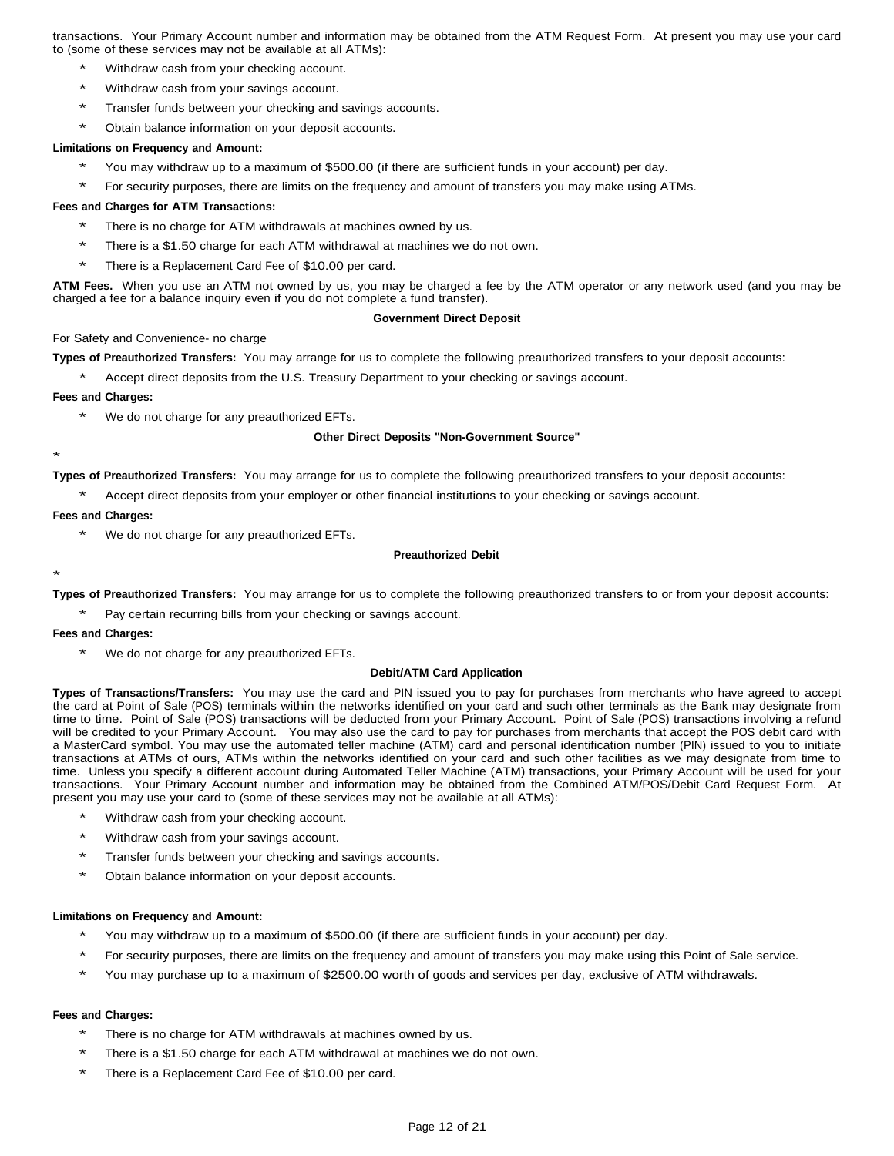transactions. Your Primary Account number and information may be obtained from the ATM Request Form. At present you may use your card to (some of these services may not be available at all ATMs):

- Withdraw cash from your checking account.
- Withdraw cash from your savings account.
- Transfer funds between your checking and savings accounts.
- Obtain balance information on your deposit accounts.

# **Limitations on Frequency and Amount:**

- You may withdraw up to a maximum of \$500.00 (if there are sufficient funds in your account) per day.
- For security purposes, there are limits on the frequency and amount of transfers you may make using ATMs.

# **Fees and Charges for ATM Transactions:**

- There is no charge for ATM withdrawals at machines owned by us.
- There is a \$1.50 charge for each ATM withdrawal at machines we do not own.
- There is a Replacement Card Fee of \$10.00 per card.

**ATM Fees.** When you use an ATM not owned by us, you may be charged a fee by the ATM operator or any network used (and you may be charged a fee for a balance inquiry even if you do not complete a fund transfer).

### **Government Direct Deposit**

# For Safety and Convenience- no charge

**Types of Preauthorized Transfers:** You may arrange for us to complete the following preauthorized transfers to your deposit accounts:

Accept direct deposits from the U.S. Treasury Department to your checking or savings account.

# **Fees and Charges:**

We do not charge for any preauthorized EFTs.

# **Other Direct Deposits "Non-Government Source"**

\*

\*

**Types of Preauthorized Transfers:** You may arrange for us to complete the following preauthorized transfers to your deposit accounts:

Accept direct deposits from your employer or other financial institutions to your checking or savings account.

# **Fees and Charges:**

We do not charge for any preauthorized EFTs.

# **Preauthorized Debit**

**Types of Preauthorized Transfers:** You may arrange for us to complete the following preauthorized transfers to or from your deposit accounts:

Pay certain recurring bills from your checking or savings account.

### **Fees and Charges:**

We do not charge for any preauthorized EFTs.

## **Debit/ATM Card Application**

**Types of Transactions/Transfers:** You may use the card and PIN issued you to pay for purchases from merchants who have agreed to accept the card at Point of Sale (POS) terminals within the networks identified on your card and such other terminals as the Bank may designate from time to time. Point of Sale (POS) transactions will be deducted from your Primary Account. Point of Sale (POS) transactions involving a refund will be credited to your Primary Account. You may also use the card to pay for purchases from merchants that accept the POS debit card with a MasterCard symbol. You may use the automated teller machine (ATM) card and personal identification number (PIN) issued to you to initiate transactions at ATMs of ours, ATMs within the networks identified on your card and such other facilities as we may designate from time to time. Unless you specify a different account during Automated Teller Machine (ATM) transactions, your Primary Account will be used for your transactions. Your Primary Account number and information may be obtained from the Combined ATM/POS/Debit Card Request Form. At present you may use your card to (some of these services may not be available at all ATMs):

- Withdraw cash from your checking account.
- Withdraw cash from your savings account.
- Transfer funds between your checking and savings accounts.
- Obtain balance information on your deposit accounts.

## **Limitations on Frequency and Amount:**

- You may withdraw up to a maximum of \$500.00 (if there are sufficient funds in your account) per day.
- For security purposes, there are limits on the frequency and amount of transfers you may make using this Point of Sale service.
- You may purchase up to a maximum of \$2500.00 worth of goods and services per day, exclusive of ATM withdrawals.

# **Fees and Charges:**

- There is no charge for ATM withdrawals at machines owned by us.
- There is a \$1.50 charge for each ATM withdrawal at machines we do not own.
- There is a Replacement Card Fee of \$10.00 per card.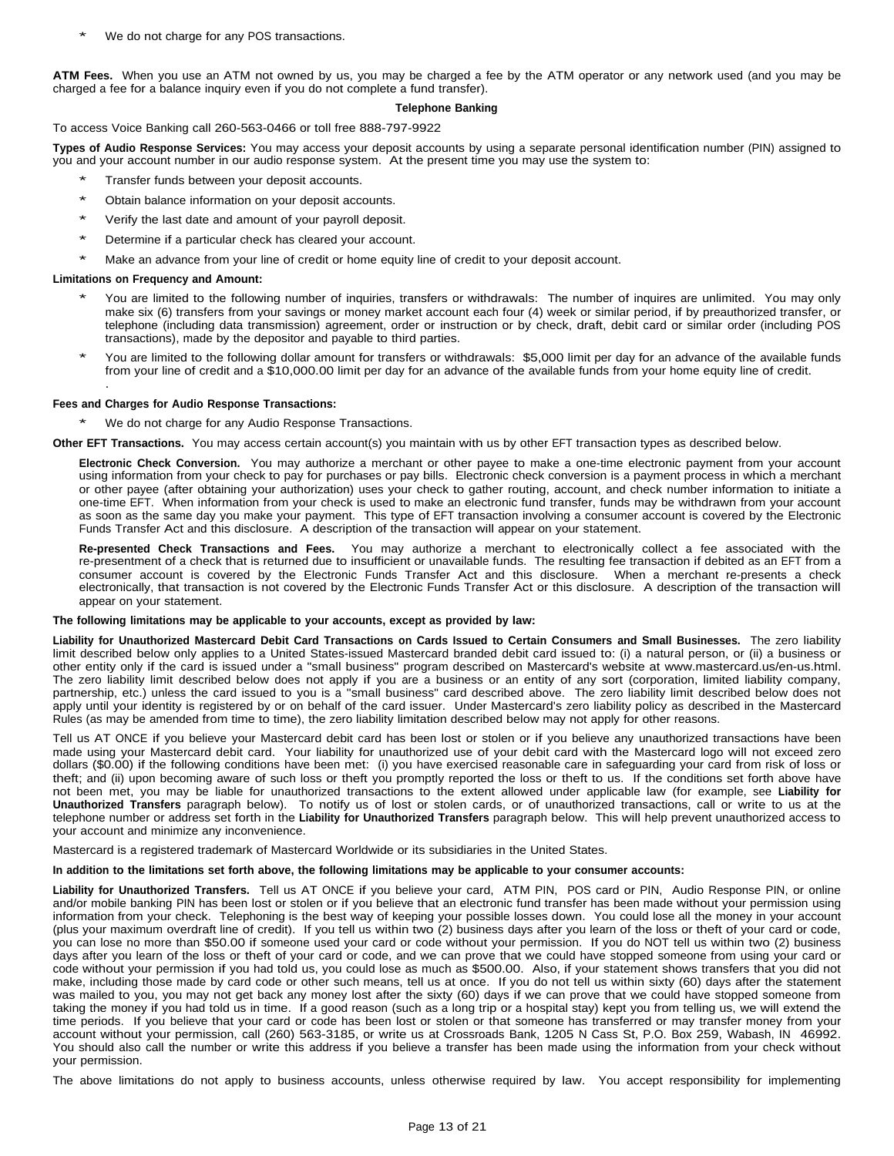We do not charge for any POS transactions.

**ATM Fees.** When you use an ATM not owned by us, you may be charged a fee by the ATM operator or any network used (and you may be charged a fee for a balance inquiry even if you do not complete a fund transfer).

# **Telephone Banking**

# To access Voice Banking call 260-563-0466 or toll free 888-797-9922

**Types of Audio Response Services:** You may access your deposit accounts by using a separate personal identification number (PIN) assigned to you and your account number in our audio response system. At the present time you may use the system to:

- Transfer funds between your deposit accounts.
- Obtain balance information on your deposit accounts.
- Verify the last date and amount of your payroll deposit.
- Determine if a particular check has cleared your account.
- Make an advance from your line of credit or home equity line of credit to your deposit account.

### **Limitations on Frequency and Amount:**

- You are limited to the following number of inquiries, transfers or withdrawals: The number of inquires are unlimited. You may only make six (6) transfers from your savings or money market account each four (4) week or similar period, if by preauthorized transfer, or telephone (including data transmission) agreement, order or instruction or by check, draft, debit card or similar order (including POS transactions), made by the depositor and payable to third parties.
- You are limited to the following dollar amount for transfers or withdrawals: \$5,000 limit per day for an advance of the available funds from your line of credit and a \$10,000.00 limit per day for an advance of the available funds from your home equity line of credit. .

### **Fees and Charges for Audio Response Transactions:**

We do not charge for any Audio Response Transactions.

**Other EFT Transactions.** You may access certain account(s) you maintain with us by other EFT transaction types as described below.

**Electronic Check Conversion.** You may authorize a merchant or other payee to make a one-time electronic payment from your account using information from your check to pay for purchases or pay bills. Electronic check conversion is a payment process in which a merchant or other payee (after obtaining your authorization) uses your check to gather routing, account, and check number information to initiate a one-time EFT. When information from your check is used to make an electronic fund transfer, funds may be withdrawn from your account as soon as the same day you make your payment. This type of EFT transaction involving a consumer account is covered by the Electronic Funds Transfer Act and this disclosure. A description of the transaction will appear on your statement.

**Re-presented Check Transactions and Fees.** You may authorize a merchant to electronically collect a fee associated with the re-presentment of a check that is returned due to insufficient or unavailable funds. The resulting fee transaction if debited as an EFT from a consumer account is covered by the Electronic Funds Transfer Act and this disclosure. When a merchant re-presents a check electronically, that transaction is not covered by the Electronic Funds Transfer Act or this disclosure. A description of the transaction will appear on your statement.

# **The following limitations may be applicable to your accounts, except as provided by law:**

Liability for Unauthorized Mastercard Debit Card Transactions on Cards Issued to Certain Consumers and Small Businesses. The zero liability limit described below only applies to a United States-issued Mastercard branded debit card issued to: (i) a natural person, or (ii) a business or other entity only if the card is issued under a "small business" program described on Mastercard's website at www.mastercard.us/en-us.html. The zero liability limit described below does not apply if you are a business or an entity of any sort (corporation, limited liability company, partnership, etc.) unless the card issued to you is a "small business" card described above. The zero liability limit described below does not apply until your identity is registered by or on behalf of the card issuer. Under Mastercard's zero liability policy as described in the Mastercard Rules (as may be amended from time to time), the zero liability limitation described below may not apply for other reasons.

Tell us AT ONCE if you believe your Mastercard debit card has been lost or stolen or if you believe any unauthorized transactions have been made using your Mastercard debit card. Your liability for unauthorized use of your debit card with the Mastercard logo will not exceed zero dollars (\$0.00) if the following conditions have been met: (i) you have exercised reasonable care in safeguarding your card from risk of loss or theft; and (ii) upon becoming aware of such loss or theft you promptly reported the loss or theft to us. If the conditions set forth above have not been met, you may be liable for unauthorized transactions to the extent allowed under applicable law (for example, see **Liability for Unauthorized Transfers** paragraph below). To notify us of lost or stolen cards, or of unauthorized transactions, call or write to us at the telephone number or address set forth in the **Liability for Unauthorized Transfers** paragraph below. This will help prevent unauthorized access to your account and minimize any inconvenience.

Mastercard is a registered trademark of Mastercard Worldwide or its subsidiaries in the United States.

### In addition to the limitations set forth above, the following limitations may be applicable to your consumer accounts:

**Liability for Unauthorized Transfers.** Tell us AT ONCE if you believe your card, ATM PIN, POS card or PIN, Audio Response PIN, or online and/or mobile banking PIN has been lost or stolen or if you believe that an electronic fund transfer has been made without your permission using information from your check. Telephoning is the best way of keeping your possible losses down. You could lose all the money in your account (plus your maximum overdraft line of credit). If you tell us within two (2) business days after you learn of the loss or theft of your card or code, you can lose no more than \$50.00 if someone used your card or code without your permission. If you do NOT tell us within two (2) business days after you learn of the loss or theft of your card or code, and we can prove that we could have stopped someone from using your card or code without your permission if you had told us, you could lose as much as \$500.00. Also, if your statement shows transfers that you did not make, including those made by card code or other such means, tell us at once. If you do not tell us within sixty (60) days after the statement was mailed to you, you may not get back any money lost after the sixty (60) days if we can prove that we could have stopped someone from taking the money if you had told us in time. If a good reason (such as a long trip or a hospital stay) kept you from telling us, we will extend the time periods. If you believe that your card or code has been lost or stolen or that someone has transferred or may transfer money from your account without your permission, call (260) 563-3185, or write us at Crossroads Bank, 1205 N Cass St, P.O. Box 259, Wabash, IN 46992. You should also call the number or write this address if you believe a transfer has been made using the information from your check without your permission.

The above limitations do not apply to business accounts, unless otherwise required by law. You accept responsibility for implementing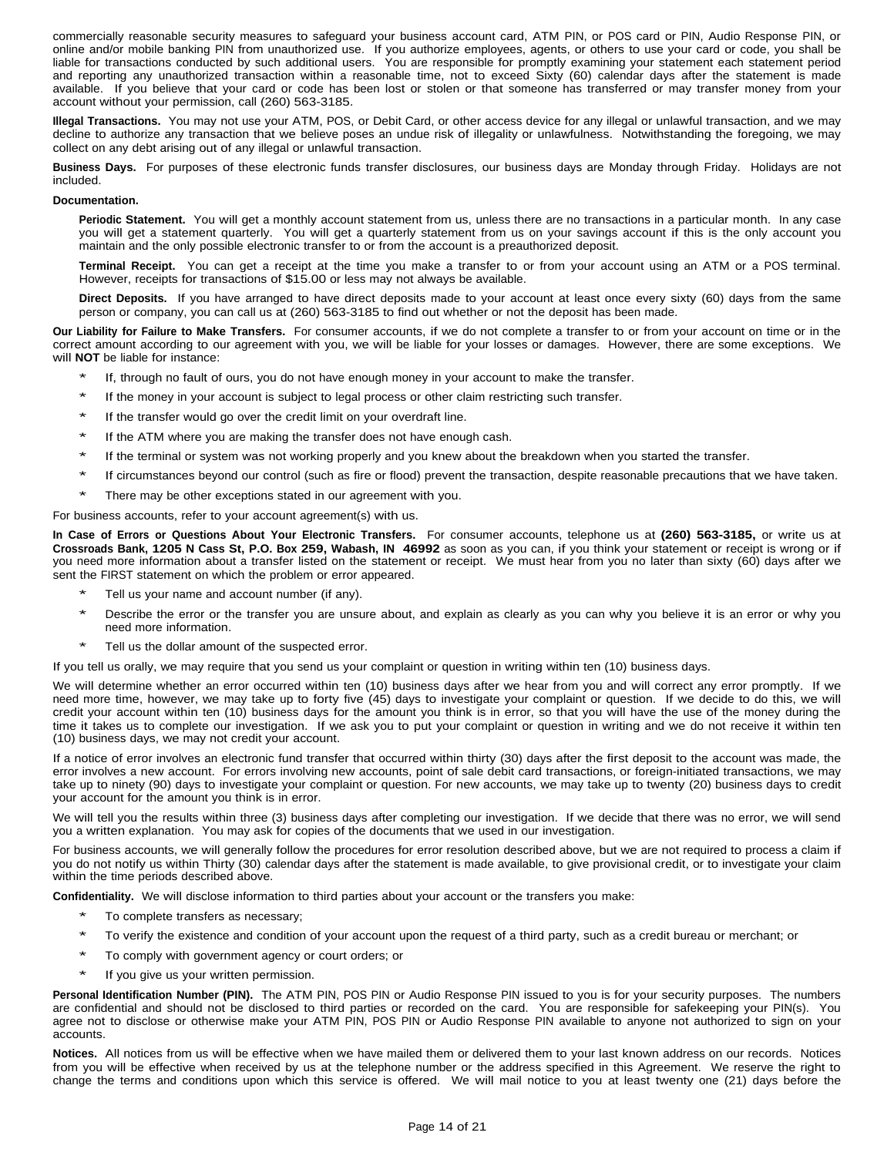commercially reasonable security measures to safeguard your business account card, ATM PIN, or POS card or PIN, Audio Response PIN, or online and/or mobile banking PIN from unauthorized use. If you authorize employees, agents, or others to use your card or code, you shall be liable for transactions conducted by such additional users. You are responsible for promptly examining your statement each statement period and reporting any unauthorized transaction within a reasonable time, not to exceed Sixty (60) calendar days after the statement is made available. If you believe that your card or code has been lost or stolen or that someone has transferred or may transfer money from your account without your permission, call (260) 563-3185.

**Illegal Transactions.** You may not use your ATM, POS, or Debit Card, or other access device for any illegal or unlawful transaction, and we may decline to authorize any transaction that we believe poses an undue risk of illegality or unlawfulness. Notwithstanding the foregoing, we may collect on any debt arising out of any illegal or unlawful transaction.

**Business Days.** For purposes of these electronic funds transfer disclosures, our business days are Monday through Friday. Holidays are not included.

## **Documentation.**

**Periodic Statement.** You will get a monthly account statement from us, unless there are no transactions in a particular month. In any case you will get a statement quarterly. You will get a quarterly statement from us on your savings account if this is the only account you maintain and the only possible electronic transfer to or from the account is a preauthorized deposit.

**Terminal Receipt.** You can get a receipt at the time you make a transfer to or from your account using an ATM or a POS terminal. However, receipts for transactions of \$15.00 or less may not always be available.

**Direct Deposits.** If you have arranged to have direct deposits made to your account at least once every sixty (60) days from the same person or company, you can call us at (260) 563-3185 to find out whether or not the deposit has been made.

**Our Liability for Failure to Make Transfers.** For consumer accounts, if we do not complete a transfer to or from your account on time or in the correct amount according to our agreement with you, we will be liable for your losses or damages. However, there are some exceptions. We will **NOT** be liable for instance:

- If, through no fault of ours, you do not have enough money in your account to make the transfer.
- If the money in your account is subject to legal process or other claim restricting such transfer.
- If the transfer would go over the credit limit on your overdraft line.
- If the ATM where you are making the transfer does not have enough cash.
- If the terminal or system was not working properly and you knew about the breakdown when you started the transfer.
- If circumstances beyond our control (such as fire or flood) prevent the transaction, despite reasonable precautions that we have taken.
- \* There may be other exceptions stated in our agreement with you.

For business accounts, refer to your account agreement(s) with us.

**In Case of Errors or Questions About Your Electronic Transfers.** For consumer accounts, telephone us at **(260) 563-3185,** or write us at **Crossroads Bank, 1205 N Cass St, P.O. Box 259, Wabash, IN 46992** as soon as you can, if you think your statement or receipt is wrong or if you need more information about a transfer listed on the statement or receipt. We must hear from you no later than sixty (60) days after we sent the FIRST statement on which the problem or error appeared.

- Tell us your name and account number (if any).
- Describe the error or the transfer you are unsure about, and explain as clearly as you can why you believe it is an error or why you need more information.
- Tell us the dollar amount of the suspected error.

If you tell us orally, we may require that you send us your complaint or question in writing within ten (10) business days.

We will determine whether an error occurred within ten (10) business days after we hear from you and will correct any error promptly. If we need more time, however, we may take up to forty five (45) days to investigate your complaint or question. If we decide to do this, we will credit your account within ten (10) business days for the amount you think is in error, so that you will have the use of the money during the time it takes us to complete our investigation. If we ask you to put your complaint or question in writing and we do not receive it within ten (10) business days, we may not credit your account.

If a notice of error involves an electronic fund transfer that occurred within thirty (30) days after the first deposit to the account was made, the error involves a new account. For errors involving new accounts, point of sale debit card transactions, or foreign-initiated transactions, we may take up to ninety (90) days to investigate your complaint or question. For new accounts, we may take up to twenty (20) business days to credit your account for the amount you think is in error.

We will tell you the results within three (3) business days after completing our investigation. If we decide that there was no error, we will send you a written explanation. You may ask for copies of the documents that we used in our investigation.

For business accounts, we will generally follow the procedures for error resolution described above, but we are not required to process a claim if you do not notify us within Thirty (30) calendar days after the statement is made available, to give provisional credit, or to investigate your claim within the time periods described above.

**Confidentiality.** We will disclose information to third parties about your account or the transfers you make:

- To complete transfers as necessary;
- To verify the existence and condition of your account upon the request of a third party, such as a credit bureau or merchant; or
- To comply with government agency or court orders; or
- If you give us your written permission.

**Personal Identification Number (PIN).** The ATM PIN, POS PIN or Audio Response PIN issued to you is for your security purposes. The numbers are confidential and should not be disclosed to third parties or recorded on the card. You are responsible for safekeeping your PIN(s). You agree not to disclose or otherwise make your ATM PIN, POS PIN or Audio Response PIN available to anyone not authorized to sign on your accounts.

**Notices.** All notices from us will be effective when we have mailed them or delivered them to your last known address on our records. Notices from you will be effective when received by us at the telephone number or the address specified in this Agreement. We reserve the right to change the terms and conditions upon which this service is offered. We will mail notice to you at least twenty one (21) days before the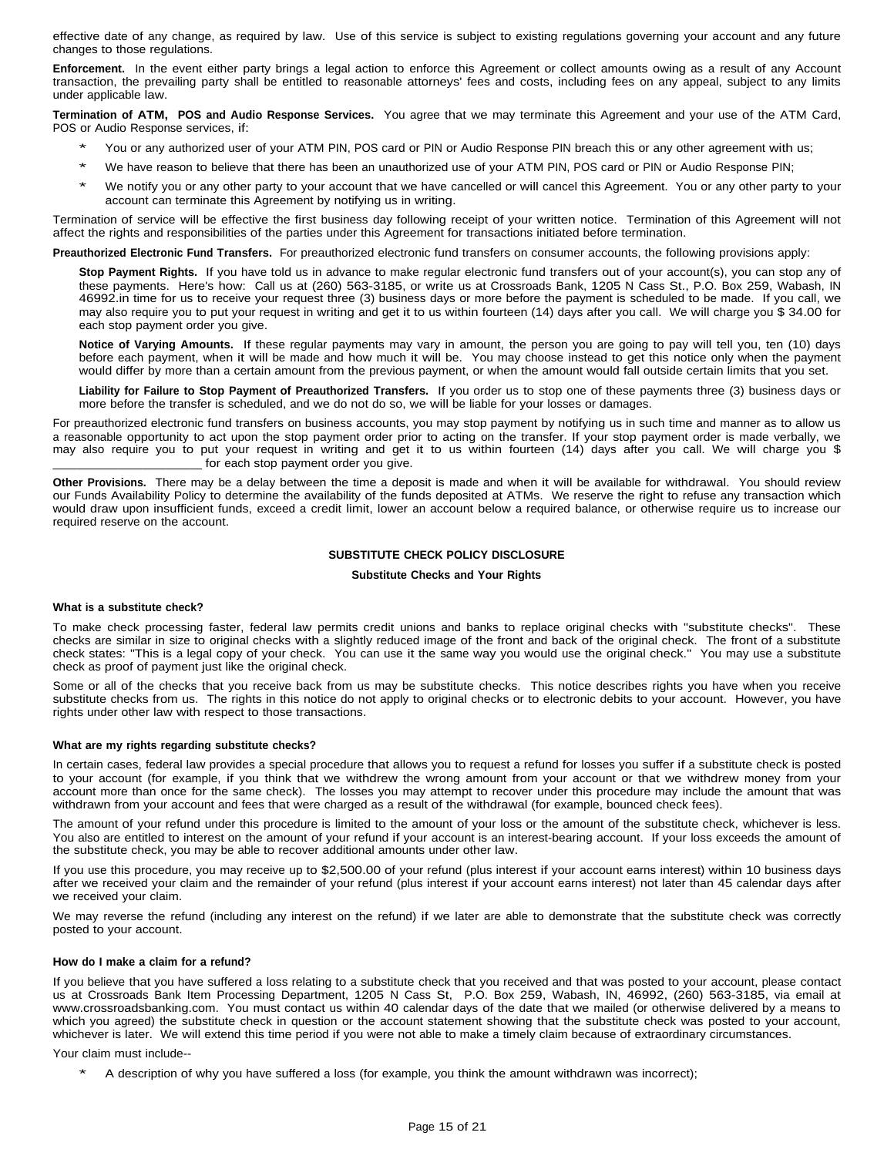effective date of any change, as required by law. Use of this service is subject to existing regulations governing your account and any future changes to those regulations.

**Enforcement.** In the event either party brings a legal action to enforce this Agreement or collect amounts owing as a result of any Account transaction, the prevailing party shall be entitled to reasonable attorneys' fees and costs, including fees on any appeal, subject to any limits under applicable law.

**Termination of ATM, POS and Audio Response Services.** You agree that we may terminate this Agreement and your use of the ATM Card, POS or Audio Response services, if:

- You or any authorized user of your ATM PIN, POS card or PIN or Audio Response PIN breach this or any other agreement with us;
- \* We have reason to believe that there has been an unauthorized use of your ATM PIN, POS card or PIN or Audio Response PIN;
- We notify you or any other party to your account that we have cancelled or will cancel this Agreement. You or any other party to your account can terminate this Agreement by notifying us in writing.

Termination of service will be effective the first business day following receipt of your written notice. Termination of this Agreement will not affect the rights and responsibilities of the parties under this Agreement for transactions initiated before termination.

**Preauthorized Electronic Fund Transfers.** For preauthorized electronic fund transfers on consumer accounts, the following provisions apply:

**Stop Payment Rights.** If you have told us in advance to make regular electronic fund transfers out of your account(s), you can stop any of these payments. Here's how: Call us at (260) 563-3185, or write us at Crossroads Bank, 1205 N Cass St., P.O. Box 259, Wabash, IN 46992.in time for us to receive your request three (3) business days or more before the payment is scheduled to be made. If you call, we may also require you to put your request in writing and get it to us within fourteen (14) days after you call. We will charge you \$ 34.00 for each stop payment order you give.

**Notice of Varying Amounts.** If these regular payments may vary in amount, the person you are going to pay will tell you, ten (10) days before each payment, when it will be made and how much it will be. You may choose instead to get this notice only when the payment would differ by more than a certain amount from the previous payment, or when the amount would fall outside certain limits that you set.

**Liability for Failure to Stop Payment of Preauthorized Transfers.** If you order us to stop one of these payments three (3) business days or more before the transfer is scheduled, and we do not do so, we will be liable for your losses or damages.

For preauthorized electronic fund transfers on business accounts, you may stop payment by notifying us in such time and manner as to allow us a reasonable opportunity to act upon the stop payment order prior to acting on the transfer. If your stop payment order is made verbally, we may also require you to put your request in writing and get it to us within fourteen (14) days after you call. We will charge you \$ \_\_\_\_\_\_\_\_\_\_\_\_\_\_\_\_\_\_\_\_\_\_\_\_\_ for each stop payment order you give.

**Other Provisions.** There may be a delay between the time a deposit is made and when it will be available for withdrawal. You should review our Funds Availability Policy to determine the availability of the funds deposited at ATMs. We reserve the right to refuse any transaction which would draw upon insufficient funds, exceed a credit limit, lower an account below a required balance, or otherwise require us to increase our required reserve on the account.

# **SUBSTITUTE CHECK POLICY DISCLOSURE**

## **Substitute Checks and Your Rights**

### **What is a substitute check?**

To make check processing faster, federal law permits credit unions and banks to replace original checks with "substitute checks". These checks are similar in size to original checks with a slightly reduced image of the front and back of the original check. The front of a substitute check states: "This is a legal copy of your check. You can use it the same way you would use the original check." You may use a substitute check as proof of payment just like the original check.

Some or all of the checks that you receive back from us may be substitute checks. This notice describes rights you have when you receive substitute checks from us. The rights in this notice do not apply to original checks or to electronic debits to your account. However, you have rights under other law with respect to those transactions.

### **What are my rights regarding substitute checks?**

In certain cases, federal law provides a special procedure that allows you to request a refund for losses you suffer if a substitute check is posted to your account (for example, if you think that we withdrew the wrong amount from your account or that we withdrew money from your account more than once for the same check). The losses you may attempt to recover under this procedure may include the amount that was withdrawn from your account and fees that were charged as a result of the withdrawal (for example, bounced check fees).

The amount of your refund under this procedure is limited to the amount of your loss or the amount of the substitute check, whichever is less. You also are entitled to interest on the amount of your refund if your account is an interest-bearing account. If your loss exceeds the amount of the substitute check, you may be able to recover additional amounts under other law.

If you use this procedure, you may receive up to \$2,500.00 of your refund (plus interest if your account earns interest) within 10 business days after we received your claim and the remainder of your refund (plus interest if your account earns interest) not later than 45 calendar days after we received your claim.

We may reverse the refund (including any interest on the refund) if we later are able to demonstrate that the substitute check was correctly posted to your account.

# **How do I make a claim for a refund?**

If you believe that you have suffered a loss relating to a substitute check that you received and that was posted to your account, please contact us at Crossroads Bank Item Processing Department, 1205 N Cass St, P.O. Box 259, Wabash, IN, 46992, (260) 563-3185, via email at www.crossroadsbanking.com. You must contact us within 40 calendar days of the date that we mailed (or otherwise delivered by a means to which you agreed) the substitute check in question or the account statement showing that the substitute check was posted to your account, whichever is later. We will extend this time period if you were not able to make a timely claim because of extraordinary circumstances.

Your claim must include--

A description of why you have suffered a loss (for example, you think the amount withdrawn was incorrect);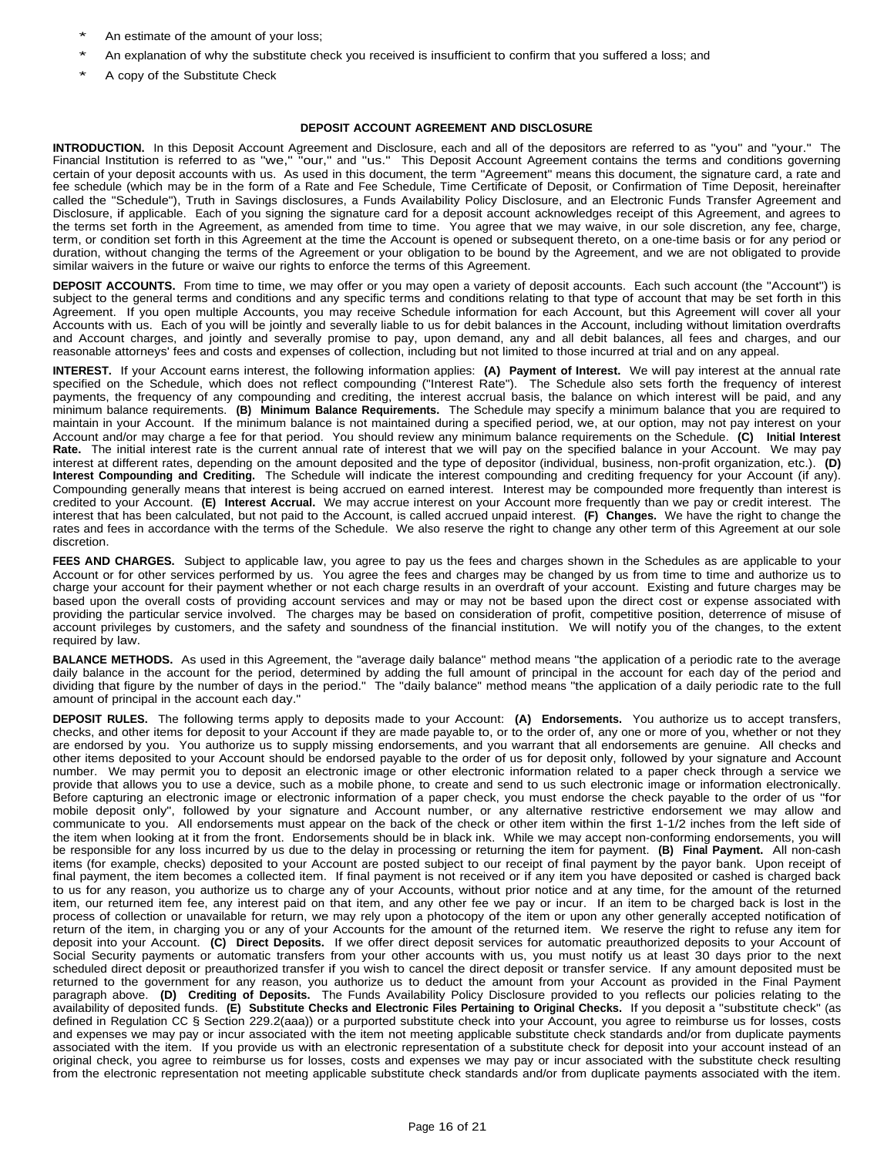- An estimate of the amount of your loss;
- An explanation of why the substitute check you received is insufficient to confirm that you suffered a loss; and
- A copy of the Substitute Check

## **DEPOSIT ACCOUNT AGREEMENT AND DISCLOSURE**

**INTRODUCTION.** In this Deposit Account Agreement and Disclosure, each and all of the depositors are referred to as "you" and "your." The Financial Institution is referred to as "we," "our," and "us." This Deposit Account Agreement contains the terms and conditions governing certain of your deposit accounts with us. As used in this document, the term "Agreement" means this document, the signature card, a rate and fee schedule (which may be in the form of a Rate and Fee Schedule, Time Certificate of Deposit, or Confirmation of Time Deposit, hereinafter called the "Schedule"), Truth in Savings disclosures, a Funds Availability Policy Disclosure, and an Electronic Funds Transfer Agreement and Disclosure, if applicable. Each of you signing the signature card for a deposit account acknowledges receipt of this Agreement, and agrees to the terms set forth in the Agreement, as amended from time to time. You agree that we may waive, in our sole discretion, any fee, charge, term, or condition set forth in this Agreement at the time the Account is opened or subsequent thereto, on a one-time basis or for any period or duration, without changing the terms of the Agreement or your obligation to be bound by the Agreement, and we are not obligated to provide similar waivers in the future or waive our rights to enforce the terms of this Agreement.

**DEPOSIT ACCOUNTS.** From time to time, we may offer or you may open a variety of deposit accounts. Each such account (the "Account") is subject to the general terms and conditions and any specific terms and conditions relating to that type of account that may be set forth in this Agreement. If you open multiple Accounts, you may receive Schedule information for each Account, but this Agreement will cover all your Accounts with us. Each of you will be jointly and severally liable to us for debit balances in the Account, including without limitation overdrafts and Account charges, and jointly and severally promise to pay, upon demand, any and all debit balances, all fees and charges, and our reasonable attorneys' fees and costs and expenses of collection, including but not limited to those incurred at trial and on any appeal.

**INTEREST.** If your Account earns interest, the following information applies: **(A) Payment of Interest.** We will pay interest at the annual rate specified on the Schedule, which does not reflect compounding ("Interest Rate"). The Schedule also sets forth the frequency of interest payments, the frequency of any compounding and crediting, the interest accrual basis, the balance on which interest will be paid, and any minimum balance requirements. **(B) Minimum Balance Requirements.** The Schedule may specify a minimum balance that you are required to maintain in your Account. If the minimum balance is not maintained during a specified period, we, at our option, may not pay interest on your Account and/or may charge a fee for that period. You should review any minimum balance requirements on the Schedule. **(C) Initial Interest Rate.** The initial interest rate is the current annual rate of interest that we will pay on the specified balance in your Account. We may pay interest at different rates, depending on the amount deposited and the type of depositor (individual, business, non-profit organization, etc.). **(D) Interest Compounding and Crediting.** The Schedule will indicate the interest compounding and crediting frequency for your Account (if any). Compounding generally means that interest is being accrued on earned interest. Interest may be compounded more frequently than interest is credited to your Account. **(E) Interest Accrual.** We may accrue interest on your Account more frequently than we pay or credit interest. The interest that has been calculated, but not paid to the Account, is called accrued unpaid interest. **(F) Changes.** We have the right to change the rates and fees in accordance with the terms of the Schedule. We also reserve the right to change any other term of this Agreement at our sole discretion.

**FEES AND CHARGES.** Subject to applicable law, you agree to pay us the fees and charges shown in the Schedules as are applicable to your Account or for other services performed by us. You agree the fees and charges may be changed by us from time to time and authorize us to charge your account for their payment whether or not each charge results in an overdraft of your account. Existing and future charges may be based upon the overall costs of providing account services and may or may not be based upon the direct cost or expense associated with providing the particular service involved. The charges may be based on consideration of profit, competitive position, deterrence of misuse of account privileges by customers, and the safety and soundness of the financial institution. We will notify you of the changes, to the extent required by law.

**BALANCE METHODS.** As used in this Agreement, the "average daily balance" method means "the application of a periodic rate to the average daily balance in the account for the period, determined by adding the full amount of principal in the account for each day of the period and dividing that figure by the number of days in the period." The "daily balance" method means "the application of a daily periodic rate to the full amount of principal in the account each day."

**DEPOSIT RULES.** The following terms apply to deposits made to your Account: **(A) Endorsements.** You authorize us to accept transfers, checks, and other items for deposit to your Account if they are made payable to, or to the order of, any one or more of you, whether or not they are endorsed by you. You authorize us to supply missing endorsements, and you warrant that all endorsements are genuine. All checks and other items deposited to your Account should be endorsed payable to the order of us for deposit only, followed by your signature and Account number. We may permit you to deposit an electronic image or other electronic information related to a paper check through a service we provide that allows you to use a device, such as a mobile phone, to create and send to us such electronic image or information electronically. Before capturing an electronic image or electronic information of a paper check, you must endorse the check payable to the order of us "for mobile deposit only", followed by your signature and Account number, or any alternative restrictive endorsement we may allow and communicate to you. All endorsements must appear on the back of the check or other item within the first 1-1/2 inches from the left side of the item when looking at it from the front. Endorsements should be in black ink. While we may accept non-conforming endorsements, you will be responsible for any loss incurred by us due to the delay in processing or returning the item for payment. **(B) Final Payment.** All non-cash items (for example, checks) deposited to your Account are posted subject to our receipt of final payment by the payor bank. Upon receipt of final payment, the item becomes a collected item. If final payment is not received or if any item you have deposited or cashed is charged back to us for any reason, you authorize us to charge any of your Accounts, without prior notice and at any time, for the amount of the returned item, our returned item fee, any interest paid on that item, and any other fee we pay or incur. If an item to be charged back is lost in the process of collection or unavailable for return, we may rely upon a photocopy of the item or upon any other generally accepted notification of return of the item, in charging you or any of your Accounts for the amount of the returned item. We reserve the right to refuse any item for deposit into your Account. **(C) Direct Deposits.** If we offer direct deposit services for automatic preauthorized deposits to your Account of Social Security payments or automatic transfers from your other accounts with us, you must notify us at least 30 days prior to the next scheduled direct deposit or preauthorized transfer if you wish to cancel the direct deposit or transfer service. If any amount deposited must be returned to the government for any reason, you authorize us to deduct the amount from your Account as provided in the Final Payment paragraph above. **(D) Crediting of Deposits.** The Funds Availability Policy Disclosure provided to you reflects our policies relating to the availability of deposited funds. **(E) Substitute Checks and Electronic Files Pertaining to Original Checks.** If you deposit a "substitute check" (as defined in Regulation CC § Section 229.2(aaa)) or a purported substitute check into your Account, you agree to reimburse us for losses, costs and expenses we may pay or incur associated with the item not meeting applicable substitute check standards and/or from duplicate payments associated with the item. If you provide us with an electronic representation of a substitute check for deposit into your account instead of an original check, you agree to reimburse us for losses, costs and expenses we may pay or incur associated with the substitute check resulting from the electronic representation not meeting applicable substitute check standards and/or from duplicate payments associated with the item.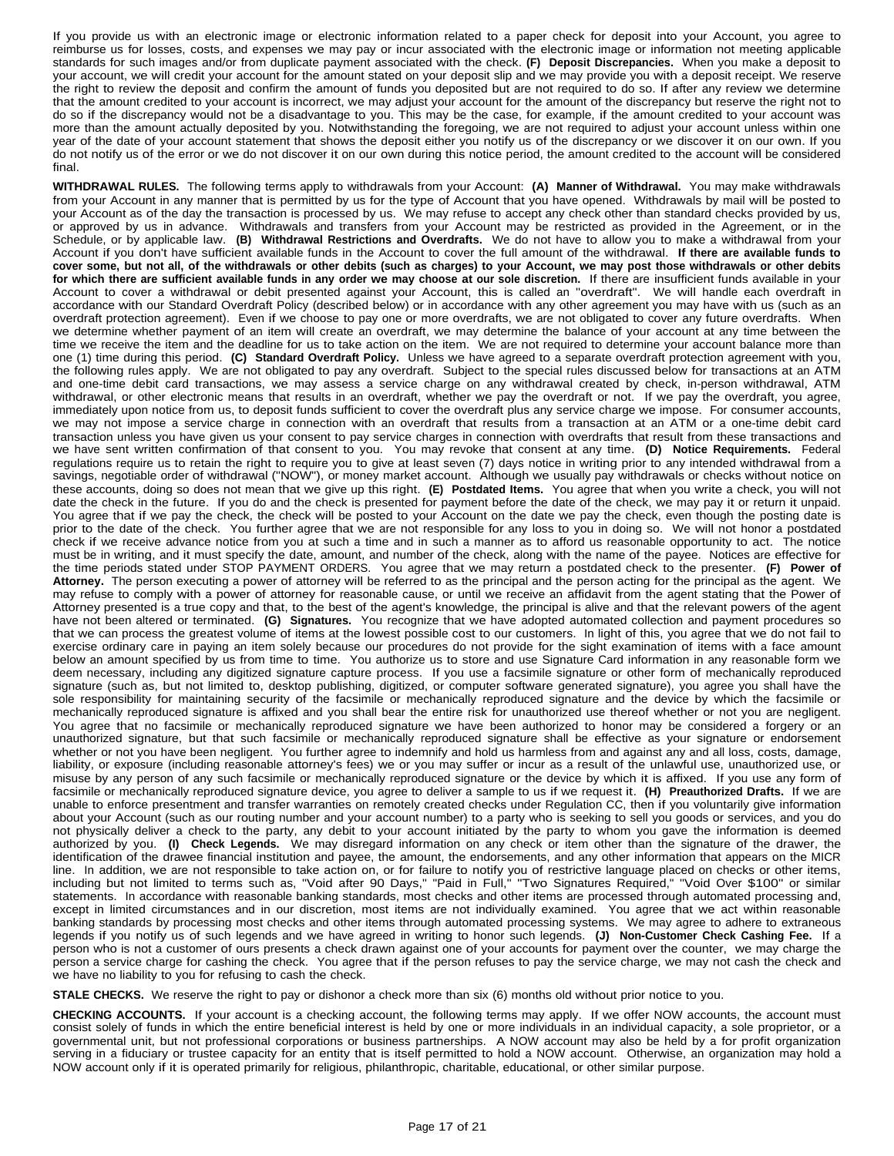If you provide us with an electronic image or electronic information related to a paper check for deposit into your Account, you agree to reimburse us for losses, costs, and expenses we may pay or incur associated with the electronic image or information not meeting applicable standards for such images and/or from duplicate payment associated with the check. **(F) Deposit Discrepancies.** When you make a deposit to your account, we will credit your account for the amount stated on your deposit slip and we may provide you with a deposit receipt. We reserve the right to review the deposit and confirm the amount of funds you deposited but are not required to do so. If after any review we determine that the amount credited to your account is incorrect, we may adjust your account for the amount of the discrepancy but reserve the right not to do so if the discrepancy would not be a disadvantage to you. This may be the case, for example, if the amount credited to your account was more than the amount actually deposited by you. Notwithstanding the foregoing, we are not required to adjust your account unless within one year of the date of your account statement that shows the deposit either you notify us of the discrepancy or we discover it on our own. If you do not notify us of the error or we do not discover it on our own during this notice period, the amount credited to the account will be considered final.

**WITHDRAWAL RULES.** The following terms apply to withdrawals from your Account: **(A) Manner of Withdrawal.** You may make withdrawals from your Account in any manner that is permitted by us for the type of Account that you have opened. Withdrawals by mail will be posted to your Account as of the day the transaction is processed by us. We may refuse to accept any check other than standard checks provided by us, or approved by us in advance. Withdrawals and transfers from your Account may be restricted as provided in the Agreement, or in the Schedule, or by applicable law. **(B) Withdrawal Restrictions and Overdrafts.** We do not have to allow you to make a withdrawal from your Account if you don't have sufficient available funds in the Account to cover the full amount of the withdrawal. **If there are available funds to** cover some, but not all, of the withdrawals or other debits (such as charges) to your Account, we may post those withdrawals or other debits for which there are sufficient available funds in any order we may choose at our sole discretion. If there are insufficient funds available in your Account to cover a withdrawal or debit presented against your Account, this is called an "overdraft". We will handle each overdraft in accordance with our Standard Overdraft Policy (described below) or in accordance with any other agreement you may have with us (such as an overdraft protection agreement). Even if we choose to pay one or more overdrafts, we are not obligated to cover any future overdrafts. When we determine whether payment of an item will create an overdraft, we may determine the balance of your account at any time between the time we receive the item and the deadline for us to take action on the item. We are not required to determine your account balance more than one (1) time during this period. **(C) Standard Overdraft Policy.** Unless we have agreed to a separate overdraft protection agreement with you, the following rules apply. We are not obligated to pay any overdraft. Subject to the special rules discussed below for transactions at an ATM and one-time debit card transactions, we may assess a service charge on any withdrawal created by check, in-person withdrawal, ATM withdrawal, or other electronic means that results in an overdraft, whether we pay the overdraft or not. If we pay the overdraft, you agree, immediately upon notice from us, to deposit funds sufficient to cover the overdraft plus any service charge we impose. For consumer accounts, we may not impose a service charge in connection with an overdraft that results from a transaction at an ATM or a one-time debit card transaction unless you have given us your consent to pay service charges in connection with overdrafts that result from these transactions and we have sent written confirmation of that consent to you. You may revoke that consent at any time. **(D) Notice Requirements.** Federal regulations require us to retain the right to require you to give at least seven (7) days notice in writing prior to any intended withdrawal from a savings, negotiable order of withdrawal ("NOW"), or money market account. Although we usually pay withdrawals or checks without notice on these accounts, doing so does not mean that we give up this right. **(E) Postdated Items.** You agree that when you write a check, you will not date the check in the future. If you do and the check is presented for payment before the date of the check, we may pay it or return it unpaid. You agree that if we pay the check, the check will be posted to your Account on the date we pay the check, even though the posting date is prior to the date of the check. You further agree that we are not responsible for any loss to you in doing so. We will not honor a postdated check if we receive advance notice from you at such a time and in such a manner as to afford us reasonable opportunity to act. The notice must be in writing, and it must specify the date, amount, and number of the check, along with the name of the payee. Notices are effective for the time periods stated under STOP PAYMENT ORDERS. You agree that we may return a postdated check to the presenter. **(F) Power of Attorney.** The person executing a power of attorney will be referred to as the principal and the person acting for the principal as the agent. We may refuse to comply with a power of attorney for reasonable cause, or until we receive an affidavit from the agent stating that the Power of Attorney presented is a true copy and that, to the best of the agent's knowledge, the principal is alive and that the relevant powers of the agent have not been altered or terminated. **(G) Signatures.** You recognize that we have adopted automated collection and payment procedures so that we can process the greatest volume of items at the lowest possible cost to our customers. In light of this, you agree that we do not fail to exercise ordinary care in paying an item solely because our procedures do not provide for the sight examination of items with a face amount below an amount specified by us from time to time. You authorize us to store and use Signature Card information in any reasonable form we deem necessary, including any digitized signature capture process. If you use a facsimile signature or other form of mechanically reproduced signature (such as, but not limited to, desktop publishing, digitized, or computer software generated signature), you agree you shall have the sole responsibility for maintaining security of the facsimile or mechanically reproduced signature and the device by which the facsimile or mechanically reproduced signature is affixed and you shall bear the entire risk for unauthorized use thereof whether or not you are negligent. You agree that no facsimile or mechanically reproduced signature we have been authorized to honor may be considered a forgery or an unauthorized signature, but that such facsimile or mechanically reproduced signature shall be effective as your signature or endorsement whether or not you have been negligent. You further agree to indemnify and hold us harmless from and against any and all loss, costs, damage, liability, or exposure (including reasonable attorney's fees) we or you may suffer or incur as a result of the unlawful use, unauthorized use, or misuse by any person of any such facsimile or mechanically reproduced signature or the device by which it is affixed. If you use any form of facsimile or mechanically reproduced signature device, you agree to deliver a sample to us if we request it. **(H) Preauthorized Drafts.** If we are unable to enforce presentment and transfer warranties on remotely created checks under Regulation CC, then if you voluntarily give information about your Account (such as our routing number and your account number) to a party who is seeking to sell you goods or services, and you do not physically deliver a check to the party, any debit to your account initiated by the party to whom you gave the information is deemed authorized by you. **(I) Check Legends.** We may disregard information on any check or item other than the signature of the drawer, the identification of the drawee financial institution and payee, the amount, the endorsements, and any other information that appears on the MICR line. In addition, we are not responsible to take action on, or for failure to notify you of restrictive language placed on checks or other items, including but not limited to terms such as, "Void after 90 Days," "Paid in Full," "Two Signatures Required," "Void Over \$100" or similar statements. In accordance with reasonable banking standards, most checks and other items are processed through automated processing and, except in limited circumstances and in our discretion, most items are not individually examined. You agree that we act within reasonable banking standards by processing most checks and other items through automated processing systems. We may agree to adhere to extraneous legends if you notify us of such legends and we have agreed in writing to honor such legends. **(J) Non-Customer Check Cashing Fee.** If a person who is not a customer of ours presents a check drawn against one of your accounts for payment over the counter, we may charge the person a service charge for cashing the check. You agree that if the person refuses to pay the service charge, we may not cash the check and we have no liability to you for refusing to cash the check.

**STALE CHECKS.** We reserve the right to pay or dishonor a check more than six (6) months old without prior notice to you.

**CHECKING ACCOUNTS.** If your account is a checking account, the following terms may apply. If we offer NOW accounts, the account must consist solely of funds in which the entire beneficial interest is held by one or more individuals in an individual capacity, a sole proprietor, or a governmental unit, but not professional corporations or business partnerships. A NOW account may also be held by a for profit organization serving in a fiduciary or trustee capacity for an entity that is itself permitted to hold a NOW account. Otherwise, an organization may hold a NOW account only if it is operated primarily for religious, philanthropic, charitable, educational, or other similar purpose.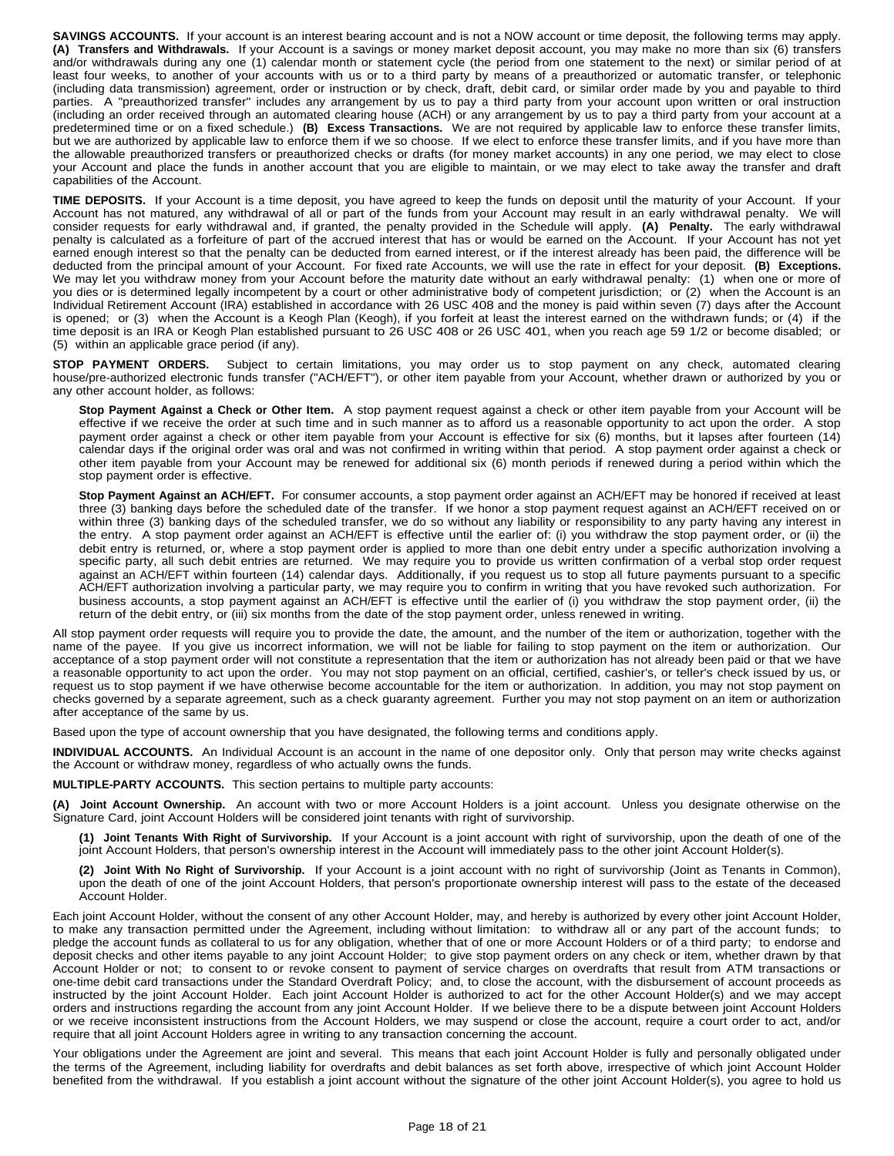**SAVINGS ACCOUNTS.** If your account is an interest bearing account and is not a NOW account or time deposit, the following terms may apply. **(A) Transfers and Withdrawals.** If your Account is a savings or money market deposit account, you may make no more than six (6) transfers and/or withdrawals during any one (1) calendar month or statement cycle (the period from one statement to the next) or similar period of at least four weeks, to another of your accounts with us or to a third party by means of a preauthorized or automatic transfer, or telephonic (including data transmission) agreement, order or instruction or by check, draft, debit card, or similar order made by you and payable to third parties. A "preauthorized transfer" includes any arrangement by us to pay a third party from your account upon written or oral instruction (including an order received through an automated clearing house (ACH) or any arrangement by us to pay a third party from your account at a predetermined time or on a fixed schedule.) **(B) Excess Transactions.** We are not required by applicable law to enforce these transfer limits, but we are authorized by applicable law to enforce them if we so choose. If we elect to enforce these transfer limits, and if you have more than the allowable preauthorized transfers or preauthorized checks or drafts (for money market accounts) in any one period, we may elect to close your Account and place the funds in another account that you are eligible to maintain, or we may elect to take away the transfer and draft capabilities of the Account.

**TIME DEPOSITS.** If your Account is a time deposit, you have agreed to keep the funds on deposit until the maturity of your Account. If your Account has not matured, any withdrawal of all or part of the funds from your Account may result in an early withdrawal penalty. We will consider requests for early withdrawal and, if granted, the penalty provided in the Schedule will apply. **(A) Penalty.** The early withdrawal penalty is calculated as a forfeiture of part of the accrued interest that has or would be earned on the Account. If your Account has not yet earned enough interest so that the penalty can be deducted from earned interest, or if the interest already has been paid, the difference will be deducted from the principal amount of your Account. For fixed rate Accounts, we will use the rate in effect for your deposit. **(B) Exceptions.** We may let you withdraw money from your Account before the maturity date without an early withdrawal penalty: (1) when one or more of you dies or is determined legally incompetent by a court or other administrative body of competent jurisdiction; or (2) when the Account is an Individual Retirement Account (IRA) established in accordance with 26 USC 408 and the money is paid within seven (7) days after the Account is opened; or (3) when the Account is a Keogh Plan (Keogh), if you forfeit at least the interest earned on the withdrawn funds; or (4) if the time deposit is an IRA or Keogh Plan established pursuant to 26 USC 408 or 26 USC 401, when you reach age 59 1/2 or become disabled; or (5) within an applicable grace period (if any).

**STOP PAYMENT ORDERS.** Subject to certain limitations, you may order us to stop payment on any check, automated clearing house/pre-authorized electronic funds transfer ("ACH/EFT"), or other item payable from your Account, whether drawn or authorized by you or any other account holder, as follows:

**Stop Payment Against a Check or Other Item.** A stop payment request against a check or other item payable from your Account will be effective if we receive the order at such time and in such manner as to afford us a reasonable opportunity to act upon the order. A stop payment order against a check or other item payable from your Account is effective for six (6) months, but it lapses after fourteen (14) calendar days if the original order was oral and was not confirmed in writing within that period. A stop payment order against a check or other item payable from your Account may be renewed for additional six (6) month periods if renewed during a period within which the stop payment order is effective.

**Stop Payment Against an ACH/EFT.** For consumer accounts, a stop payment order against an ACH/EFT may be honored if received at least three (3) banking days before the scheduled date of the transfer. If we honor a stop payment request against an ACH/EFT received on or within three (3) banking days of the scheduled transfer, we do so without any liability or responsibility to any party having any interest in the entry. A stop payment order against an ACH/EFT is effective until the earlier of: (i) you withdraw the stop payment order, or (ii) the debit entry is returned, or, where a stop payment order is applied to more than one debit entry under a specific authorization involving a specific party, all such debit entries are returned. We may require you to provide us written confirmation of a verbal stop order request against an ACH/EFT within fourteen (14) calendar days. Additionally, if you request us to stop all future payments pursuant to a specific ACH/EFT authorization involving a particular party, we may require you to confirm in writing that you have revoked such authorization. For business accounts, a stop payment against an ACH/EFT is effective until the earlier of (i) you withdraw the stop payment order, (ii) the return of the debit entry, or (iii) six months from the date of the stop payment order, unless renewed in writing.

All stop payment order requests will require you to provide the date, the amount, and the number of the item or authorization, together with the name of the payee. If you give us incorrect information, we will not be liable for failing to stop payment on the item or authorization. Our acceptance of a stop payment order will not constitute a representation that the item or authorization has not already been paid or that we have a reasonable opportunity to act upon the order. You may not stop payment on an official, certified, cashier's, or teller's check issued by us, or request us to stop payment if we have otherwise become accountable for the item or authorization. In addition, you may not stop payment on checks governed by a separate agreement, such as a check guaranty agreement. Further you may not stop payment on an item or authorization after acceptance of the same by us.

Based upon the type of account ownership that you have designated, the following terms and conditions apply.

**INDIVIDUAL ACCOUNTS.** An Individual Account is an account in the name of one depositor only. Only that person may write checks against the Account or withdraw money, regardless of who actually owns the funds.

**MULTIPLE-PARTY ACCOUNTS.** This section pertains to multiple party accounts:

**(A) Joint Account Ownership.** An account with two or more Account Holders is a joint account. Unless you designate otherwise on the Signature Card, joint Account Holders will be considered joint tenants with right of survivorship.

**(1) Joint Tenants With Right of Survivorship.** If your Account is a joint account with right of survivorship, upon the death of one of the joint Account Holders, that person's ownership interest in the Account will immediately pass to the other joint Account Holder(s).

**(2) Joint With No Right of Survivorship.** If your Account is a joint account with no right of survivorship (Joint as Tenants in Common), upon the death of one of the joint Account Holders, that person's proportionate ownership interest will pass to the estate of the deceased Account Holder.

Each joint Account Holder, without the consent of any other Account Holder, may, and hereby is authorized by every other joint Account Holder, to make any transaction permitted under the Agreement, including without limitation: to withdraw all or any part of the account funds; to pledge the account funds as collateral to us for any obligation, whether that of one or more Account Holders or of a third party; to endorse and deposit checks and other items payable to any joint Account Holder; to give stop payment orders on any check or item, whether drawn by that Account Holder or not; to consent to or revoke consent to payment of service charges on overdrafts that result from ATM transactions or one-time debit card transactions under the Standard Overdraft Policy; and, to close the account, with the disbursement of account proceeds as instructed by the joint Account Holder. Each joint Account Holder is authorized to act for the other Account Holder(s) and we may accept orders and instructions regarding the account from any joint Account Holder. If we believe there to be a dispute between joint Account Holders or we receive inconsistent instructions from the Account Holders, we may suspend or close the account, require a court order to act, and/or require that all joint Account Holders agree in writing to any transaction concerning the account.

Your obligations under the Agreement are joint and several. This means that each joint Account Holder is fully and personally obligated under the terms of the Agreement, including liability for overdrafts and debit balances as set forth above, irrespective of which joint Account Holder benefited from the withdrawal. If you establish a joint account without the signature of the other joint Account Holder(s), you agree to hold us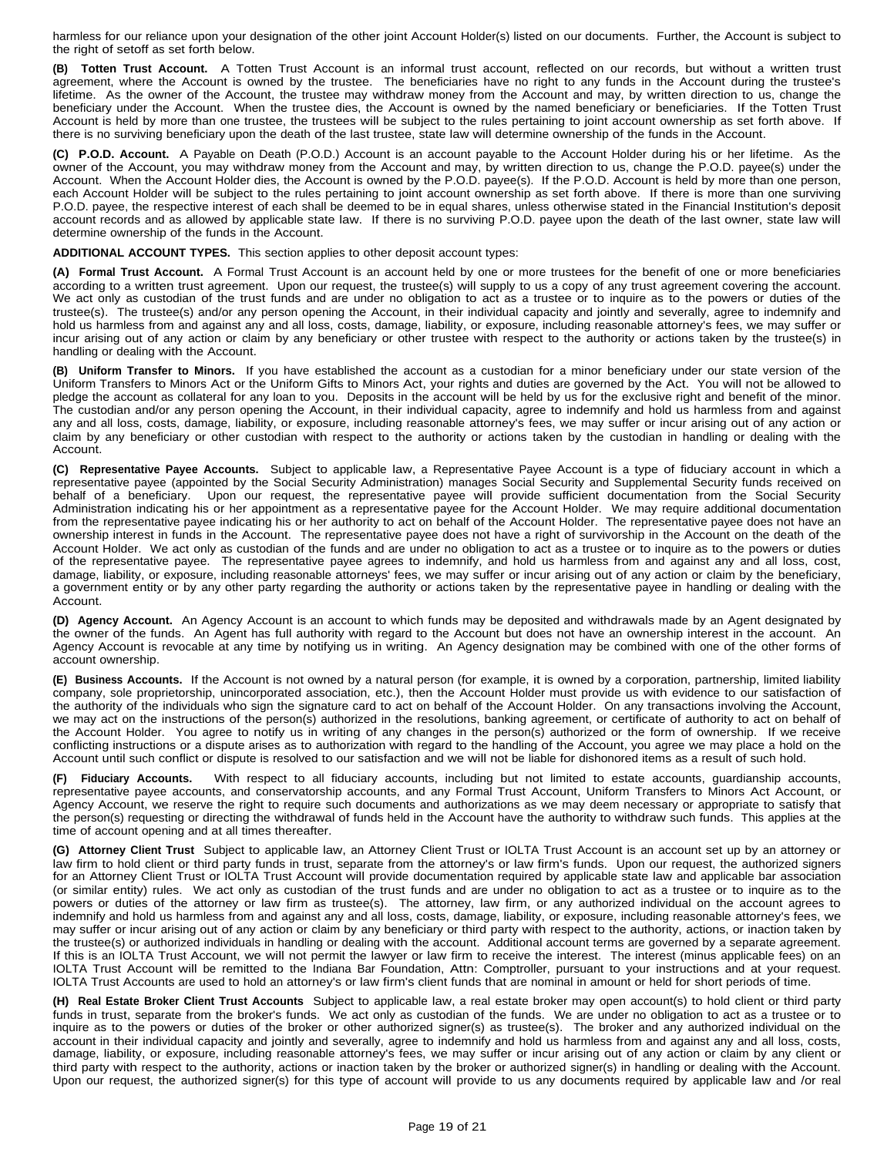harmless for our reliance upon your designation of the other joint Account Holder(s) listed on our documents. Further, the Account is subject to the right of setoff as set forth below.

**(B) Totten Trust Account.** A Totten Trust Account is an informal trust account, reflected on our records, but without a written trust agreement, where the Account is owned by the trustee. The beneficiaries have no right to any funds in the Account during the trustee's lifetime. As the owner of the Account, the trustee may withdraw money from the Account and may, by written direction to us, change the beneficiary under the Account. When the trustee dies, the Account is owned by the named beneficiary or beneficiaries. If the Totten Trust Account is held by more than one trustee, the trustees will be subject to the rules pertaining to joint account ownership as set forth above. If there is no surviving beneficiary upon the death of the last trustee, state law will determine ownership of the funds in the Account.

**(C) P.O.D. Account.** A Payable on Death (P.O.D.) Account is an account payable to the Account Holder during his or her lifetime. As the owner of the Account, you may withdraw money from the Account and may, by written direction to us, change the P.O.D. payee(s) under the Account. When the Account Holder dies, the Account is owned by the P.O.D. payee(s). If the P.O.D. Account is held by more than one person, each Account Holder will be subject to the rules pertaining to joint account ownership as set forth above. If there is more than one surviving P.O.D. payee, the respective interest of each shall be deemed to be in equal shares, unless otherwise stated in the Financial Institution's deposit account records and as allowed by applicable state law. If there is no surviving P.O.D. payee upon the death of the last owner, state law will determine ownership of the funds in the Account.

**ADDITIONAL ACCOUNT TYPES.** This section applies to other deposit account types:

**(A) Formal Trust Account.** A Formal Trust Account is an account held by one or more trustees for the benefit of one or more beneficiaries according to a written trust agreement. Upon our request, the trustee(s) will supply to us a copy of any trust agreement covering the account. We act only as custodian of the trust funds and are under no obligation to act as a trustee or to inquire as to the powers or duties of the trustee(s). The trustee(s) and/or any person opening the Account, in their individual capacity and jointly and severally, agree to indemnify and hold us harmless from and against any and all loss, costs, damage, liability, or exposure, including reasonable attorney's fees, we may suffer or incur arising out of any action or claim by any beneficiary or other trustee with respect to the authority or actions taken by the trustee(s) in handling or dealing with the Account.

**(B) Uniform Transfer to Minors.** If you have established the account as a custodian for a minor beneficiary under our state version of the Uniform Transfers to Minors Act or the Uniform Gifts to Minors Act, your rights and duties are governed by the Act. You will not be allowed to pledge the account as collateral for any loan to you. Deposits in the account will be held by us for the exclusive right and benefit of the minor. The custodian and/or any person opening the Account, in their individual capacity, agree to indemnify and hold us harmless from and against any and all loss, costs, damage, liability, or exposure, including reasonable attorney's fees, we may suffer or incur arising out of any action or claim by any beneficiary or other custodian with respect to the authority or actions taken by the custodian in handling or dealing with the Account.

**(C) Representative Payee Accounts.** Subject to applicable law, a Representative Payee Account is a type of fiduciary account in which a representative payee (appointed by the Social Security Administration) manages Social Security and Supplemental Security funds received on behalf of a beneficiary. Upon our request, the representative payee will provide sufficient documentation from the Social Security Administration indicating his or her appointment as a representative payee for the Account Holder. We may require additional documentation from the representative payee indicating his or her authority to act on behalf of the Account Holder. The representative payee does not have an ownership interest in funds in the Account. The representative payee does not have a right of survivorship in the Account on the death of the Account Holder. We act only as custodian of the funds and are under no obligation to act as a trustee or to inquire as to the powers or duties of the representative payee. The representative payee agrees to indemnify, and hold us harmless from and against any and all loss, cost, damage, liability, or exposure, including reasonable attorneys' fees, we may suffer or incur arising out of any action or claim by the beneficiary, a government entity or by any other party regarding the authority or actions taken by the representative payee in handling or dealing with the Account.

**(D) Agency Account.** An Agency Account is an account to which funds may be deposited and withdrawals made by an Agent designated by the owner of the funds. An Agent has full authority with regard to the Account but does not have an ownership interest in the account. An Agency Account is revocable at any time by notifying us in writing. An Agency designation may be combined with one of the other forms of account ownership.

**(E) Business Accounts.** If the Account is not owned by a natural person (for example, it is owned by a corporation, partnership, limited liability company, sole proprietorship, unincorporated association, etc.), then the Account Holder must provide us with evidence to our satisfaction of the authority of the individuals who sign the signature card to act on behalf of the Account Holder. On any transactions involving the Account, we may act on the instructions of the person(s) authorized in the resolutions, banking agreement, or certificate of authority to act on behalf of the Account Holder. You agree to notify us in writing of any changes in the person(s) authorized or the form of ownership. If we receive conflicting instructions or a dispute arises as to authorization with regard to the handling of the Account, you agree we may place a hold on the Account until such conflict or dispute is resolved to our satisfaction and we will not be liable for dishonored items as a result of such hold.

**(F) Fiduciary Accounts.** With respect to all fiduciary accounts, including but not limited to estate accounts, guardianship accounts, representative payee accounts, and conservatorship accounts, and any Formal Trust Account, Uniform Transfers to Minors Act Account, or Agency Account, we reserve the right to require such documents and authorizations as we may deem necessary or appropriate to satisfy that the person(s) requesting or directing the withdrawal of funds held in the Account have the authority to withdraw such funds. This applies at the time of account opening and at all times thereafter.

**(G) Attorney Client Trust** Subject to applicable law, an Attorney Client Trust or IOLTA Trust Account is an account set up by an attorney or law firm to hold client or third party funds in trust, separate from the attorney's or law firm's funds. Upon our request, the authorized signers for an Attorney Client Trust or IOLTA Trust Account will provide documentation required by applicable state law and applicable bar association (or similar entity) rules. We act only as custodian of the trust funds and are under no obligation to act as a trustee or to inquire as to the powers or duties of the attorney or law firm as trustee(s). The attorney, law firm, or any authorized individual on the account agrees to indemnify and hold us harmless from and against any and all loss, costs, damage, liability, or exposure, including reasonable attorney's fees, we may suffer or incur arising out of any action or claim by any beneficiary or third party with respect to the authority, actions, or inaction taken by the trustee(s) or authorized individuals in handling or dealing with the account. Additional account terms are governed by a separate agreement. If this is an IOLTA Trust Account, we will not permit the lawyer or law firm to receive the interest. The interest (minus applicable fees) on an IOLTA Trust Account will be remitted to the Indiana Bar Foundation, Attn: Comptroller, pursuant to your instructions and at your request. IOLTA Trust Accounts are used to hold an attorney's or law firm's client funds that are nominal in amount or held for short periods of time.

**(H) Real Estate Broker Client Trust Accounts** Subject to applicable law, a real estate broker may open account(s) to hold client or third party funds in trust, separate from the broker's funds. We act only as custodian of the funds. We are under no obligation to act as a trustee or to inquire as to the powers or duties of the broker or other authorized signer(s) as trustee(s). The broker and any authorized individual on the account in their individual capacity and jointly and severally, agree to indemnify and hold us harmless from and against any and all loss, costs, damage, liability, or exposure, including reasonable attorney's fees, we may suffer or incur arising out of any action or claim by any client or third party with respect to the authority, actions or inaction taken by the broker or authorized signer(s) in handling or dealing with the Account. Upon our request, the authorized signer(s) for this type of account will provide to us any documents required by applicable law and /or real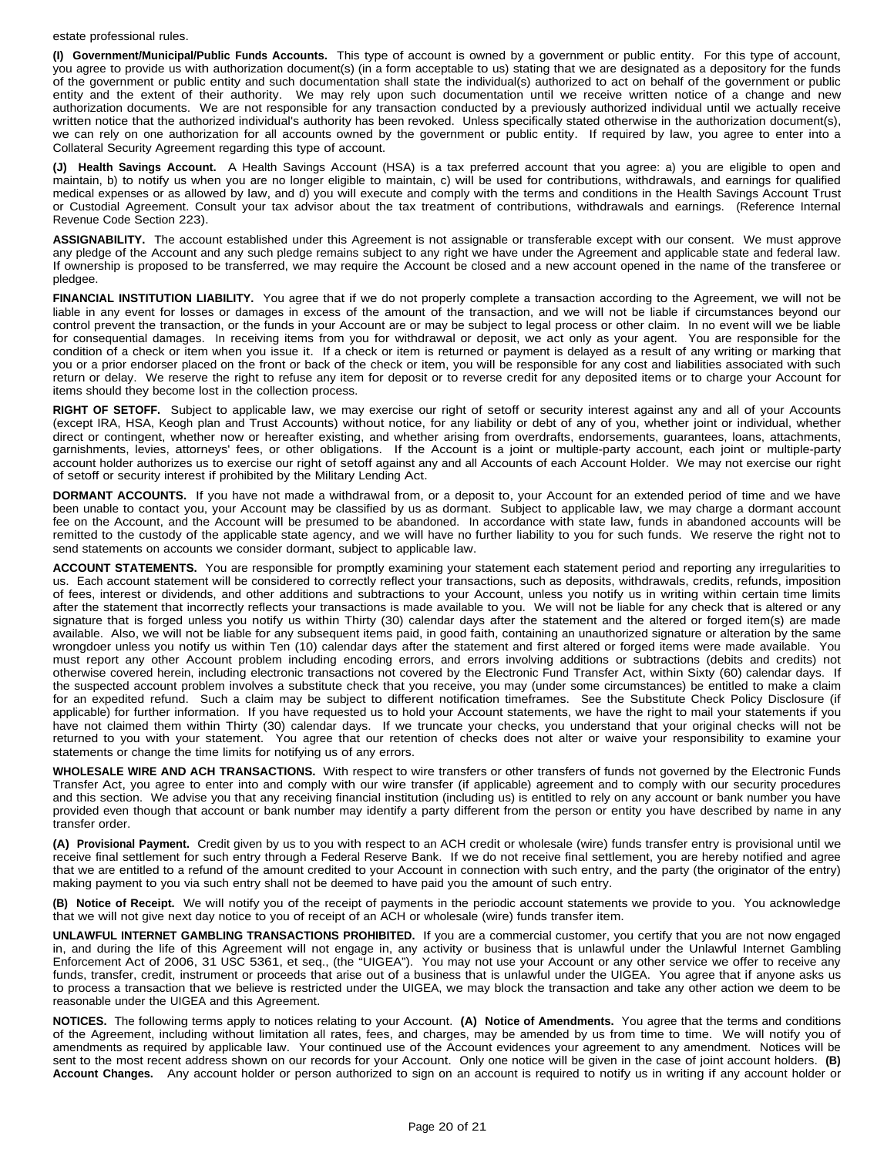### estate professional rules.

**(I) Government/Municipal/Public Funds Accounts.** This type of account is owned by a government or public entity. For this type of account, you agree to provide us with authorization document(s) (in a form acceptable to us) stating that we are designated as a depository for the funds of the government or public entity and such documentation shall state the individual(s) authorized to act on behalf of the government or public entity and the extent of their authority. We may rely upon such documentation until we receive written notice of a change and new authorization documents. We are not responsible for any transaction conducted by a previously authorized individual until we actually receive written notice that the authorized individual's authority has been revoked. Unless specifically stated otherwise in the authorization document(s), we can rely on one authorization for all accounts owned by the government or public entity. If required by law, you agree to enter into a Collateral Security Agreement regarding this type of account.

**(J) Health Savings Account.** A Health Savings Account (HSA) is a tax preferred account that you agree: a) you are eligible to open and maintain, b) to notify us when you are no longer eligible to maintain, c) will be used for contributions, withdrawals, and earnings for qualified medical expenses or as allowed by law, and d) you will execute and comply with the terms and conditions in the Health Savings Account Trust or Custodial Agreement. Consult your tax advisor about the tax treatment of contributions, withdrawals and earnings. (Reference Internal Revenue Code Section 223).

**ASSIGNABILITY.** The account established under this Agreement is not assignable or transferable except with our consent. We must approve any pledge of the Account and any such pledge remains subject to any right we have under the Agreement and applicable state and federal law. If ownership is proposed to be transferred, we may require the Account be closed and a new account opened in the name of the transferee or pledgee.

**FINANCIAL INSTITUTION LIABILITY.** You agree that if we do not properly complete a transaction according to the Agreement, we will not be liable in any event for losses or damages in excess of the amount of the transaction, and we will not be liable if circumstances beyond our control prevent the transaction, or the funds in your Account are or may be subject to legal process or other claim. In no event will we be liable for consequential damages. In receiving items from you for withdrawal or deposit, we act only as your agent. You are responsible for the condition of a check or item when you issue it. If a check or item is returned or payment is delayed as a result of any writing or marking that you or a prior endorser placed on the front or back of the check or item, you will be responsible for any cost and liabilities associated with such return or delay. We reserve the right to refuse any item for deposit or to reverse credit for any deposited items or to charge your Account for items should they become lost in the collection process.

**RIGHT OF SETOFF.** Subject to applicable law, we may exercise our right of setoff or security interest against any and all of your Accounts (except IRA, HSA, Keogh plan and Trust Accounts) without notice, for any liability or debt of any of you, whether joint or individual, whether direct or contingent, whether now or hereafter existing, and whether arising from overdrafts, endorsements, guarantees, loans, attachments, garnishments, levies, attorneys' fees, or other obligations. If the Account is a joint or multiple-party account, each joint or multiple-party account holder authorizes us to exercise our right of setoff against any and all Accounts of each Account Holder. We may not exercise our right of setoff or security interest if prohibited by the Military Lending Act.

**DORMANT ACCOUNTS.** If you have not made a withdrawal from, or a deposit to, your Account for an extended period of time and we have been unable to contact you, your Account may be classified by us as dormant. Subject to applicable law, we may charge a dormant account fee on the Account, and the Account will be presumed to be abandoned. In accordance with state law, funds in abandoned accounts will be remitted to the custody of the applicable state agency, and we will have no further liability to you for such funds. We reserve the right not to send statements on accounts we consider dormant, subject to applicable law.

**ACCOUNT STATEMENTS.** You are responsible for promptly examining your statement each statement period and reporting any irregularities to us. Each account statement will be considered to correctly reflect your transactions, such as deposits, withdrawals, credits, refunds, imposition of fees, interest or dividends, and other additions and subtractions to your Account, unless you notify us in writing within certain time limits after the statement that incorrectly reflects your transactions is made available to you. We will not be liable for any check that is altered or any signature that is forged unless you notify us within Thirty (30) calendar days after the statement and the altered or forged item(s) are made available. Also, we will not be liable for any subsequent items paid, in good faith, containing an unauthorized signature or alteration by the same wrongdoer unless you notify us within Ten (10) calendar days after the statement and first altered or forged items were made available. You must report any other Account problem including encoding errors, and errors involving additions or subtractions (debits and credits) not otherwise covered herein, including electronic transactions not covered by the Electronic Fund Transfer Act, within Sixty (60) calendar days. If the suspected account problem involves a substitute check that you receive, you may (under some circumstances) be entitled to make a claim for an expedited refund. Such a claim may be subject to different notification timeframes. See the Substitute Check Policy Disclosure (if applicable) for further information. If you have requested us to hold your Account statements, we have the right to mail your statements if you have not claimed them within Thirty (30) calendar days. If we truncate your checks, you understand that your original checks will not be returned to you with your statement. You agree that our retention of checks does not alter or waive your responsibility to examine your statements or change the time limits for notifying us of any errors.

**WHOLESALE WIRE AND ACH TRANSACTIONS.** With respect to wire transfers or other transfers of funds not governed by the Electronic Funds Transfer Act, you agree to enter into and comply with our wire transfer (if applicable) agreement and to comply with our security procedures and this section. We advise you that any receiving financial institution (including us) is entitled to rely on any account or bank number you have provided even though that account or bank number may identify a party different from the person or entity you have described by name in any transfer order.

**(A) Provisional Payment.** Credit given by us to you with respect to an ACH credit or wholesale (wire) funds transfer entry is provisional until we receive final settlement for such entry through a Federal Reserve Bank. If we do not receive final settlement, you are hereby notified and agree that we are entitled to a refund of the amount credited to your Account in connection with such entry, and the party (the originator of the entry) making payment to you via such entry shall not be deemed to have paid you the amount of such entry.

**(B) Notice of Receipt.** We will notify you of the receipt of payments in the periodic account statements we provide to you. You acknowledge that we will not give next day notice to you of receipt of an ACH or wholesale (wire) funds transfer item.

**UNLAWFUL INTERNET GAMBLING TRANSACTIONS PROHIBITED.** If you are a commercial customer, you certify that you are not now engaged in, and during the life of this Agreement will not engage in, any activity or business that is unlawful under the Unlawful Internet Gambling Enforcement Act of 2006, 31 USC 5361, et seq., (the "UIGEA"). You may not use your Account or any other service we offer to receive any funds, transfer, credit, instrument or proceeds that arise out of a business that is unlawful under the UIGEA. You agree that if anyone asks us to process a transaction that we believe is restricted under the UIGEA, we may block the transaction and take any other action we deem to be reasonable under the UIGEA and this Agreement.

**NOTICES.** The following terms apply to notices relating to your Account. **(A) Notice of Amendments.** You agree that the terms and conditions of the Agreement, including without limitation all rates, fees, and charges, may be amended by us from time to time. We will notify you of amendments as required by applicable law. Your continued use of the Account evidences your agreement to any amendment. Notices will be sent to the most recent address shown on our records for your Account. Only one notice will be given in the case of joint account holders. **(B) Account Changes.** Any account holder or person authorized to sign on an account is required to notify us in writing if any account holder or